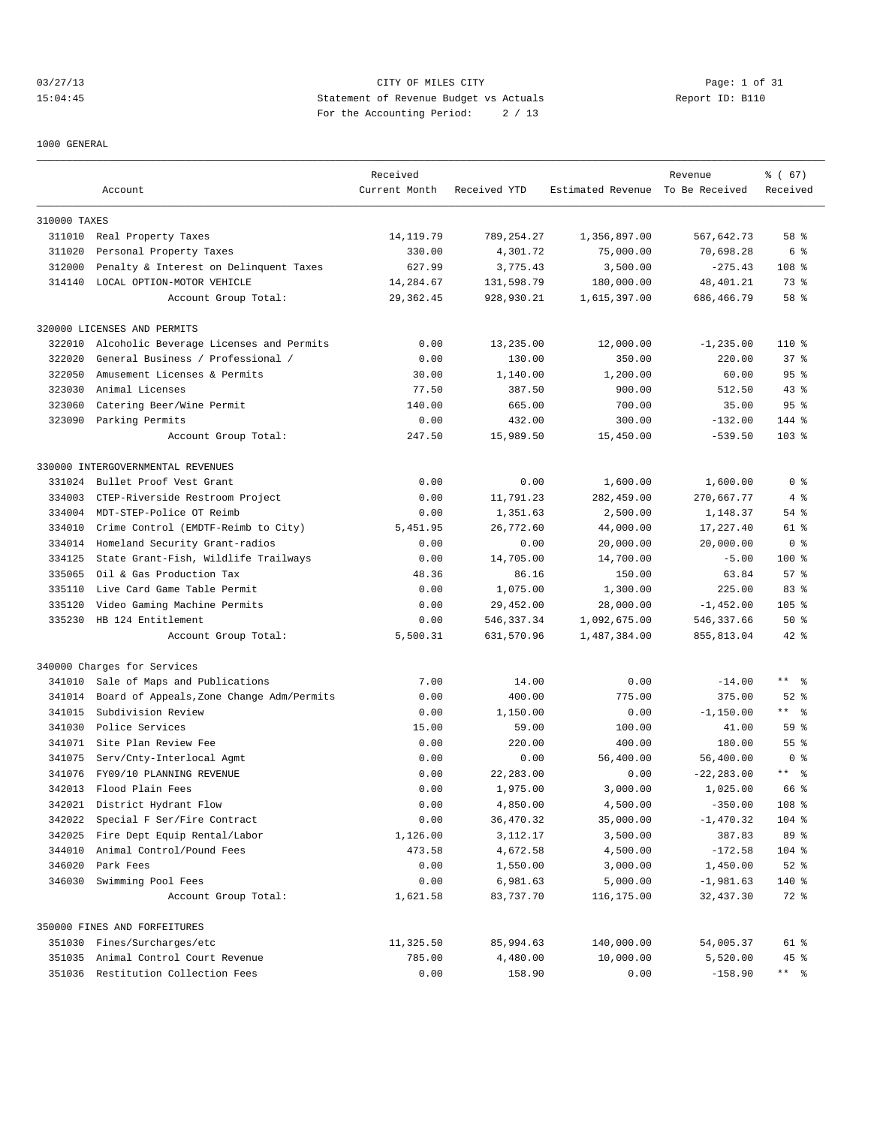03/27/13 Page: 1 of 31 15:04:45 Statement of Revenue Budget vs Actuals Report ID: B110 For the Accounting Period: 2 / 13

1000 GENERAL

|                  |                                                      | Received         |                       |                                  | Revenue                 | % (67)               |
|------------------|------------------------------------------------------|------------------|-----------------------|----------------------------------|-------------------------|----------------------|
|                  | Account                                              | Current Month    | Received YTD          | Estimated Revenue To Be Received |                         | Received             |
| 310000 TAXES     |                                                      |                  |                       |                                  |                         |                      |
|                  | 311010 Real Property Taxes                           | 14, 119.79       | 789,254.27            | 1,356,897.00                     | 567,642.73              | 58 %                 |
| 311020           | Personal Property Taxes                              | 330.00           | 4,301.72              | 75,000.00                        | 70,698.28               | 6 %                  |
| 312000           | Penalty & Interest on Delinquent Taxes               | 627.99           | 3,775.43              | 3,500.00                         | $-275.43$               | 108 <sup>8</sup>     |
|                  | 314140 LOCAL OPTION-MOTOR VEHICLE                    | 14,284.67        | 131,598.79            | 180,000.00                       | 48,401.21               | 73 %                 |
|                  | Account Group Total:                                 | 29,362.45        | 928,930.21            | 1,615,397.00                     | 686,466.79              | 58 %                 |
|                  | 320000 LICENSES AND PERMITS                          |                  |                       |                                  |                         |                      |
| 322010           | Alcoholic Beverage Licenses and Permits              | 0.00             | 13,235.00             | 12,000.00                        | $-1, 235.00$            | $110*$               |
| 322020           | General Business / Professional /                    | 0.00             | 130.00                | 350.00                           | 220.00                  | 37%                  |
| 322050           | Amusement Licenses & Permits                         | 30.00            | 1,140.00              | 1,200.00                         | 60.00                   | 95%                  |
| 323030           | Animal Licenses                                      | 77.50            | 387.50                | 900.00                           | 512.50                  | $43$ %               |
| 323060           | Catering Beer/Wine Permit                            | 140.00           | 665.00                | 700.00                           | 35.00                   | 95%                  |
|                  | 323090 Parking Permits                               | 0.00             | 432.00                | 300.00                           | $-132.00$               | $144$ %              |
|                  | Account Group Total:                                 | 247.50           | 15,989.50             | 15,450.00                        | $-539.50$               | $103$ %              |
|                  | 330000 INTERGOVERNMENTAL REVENUES                    |                  |                       |                                  |                         |                      |
| 331024           | Bullet Proof Vest Grant                              | 0.00             | 0.00                  | 1,600.00                         | 1,600.00                | 0 <sup>8</sup>       |
| 334003           | CTEP-Riverside Restroom Project                      | 0.00             | 11,791.23             | 282,459.00                       | 270,667.77              | 4%                   |
| 334004           | MDT-STEP-Police OT Reimb                             | 0.00             | 1,351.63              | 2,500.00                         | 1,148.37                | 54 %                 |
| 334010           | Crime Control (EMDTF-Reimb to City)                  | 5,451.95         | 26,772.60             | 44,000.00                        | 17,227.40               | 61 %                 |
| 334014           | Homeland Security Grant-radios                       | 0.00             | 0.00                  | 20,000.00                        | 20,000.00               | 0 <sup>8</sup>       |
| 334125           | State Grant-Fish, Wildlife Trailways                 | 0.00             | 14,705.00             | 14,700.00                        | $-5.00$                 | $100$ %              |
| 335065           | Oil & Gas Production Tax                             | 48.36            | 86.16                 | 150.00                           | 63.84                   | 57%                  |
| 335110           | Live Card Game Table Permit                          | 0.00             | 1,075.00              | 1,300.00                         | 225.00                  | 83%                  |
| 335120           | Video Gaming Machine Permits                         | 0.00             | 29,452.00             | 28,000.00                        | $-1,452.00$             | $105$ %              |
| 335230           | HB 124 Entitlement                                   | 0.00             | 546, 337.34           | 1,092,675.00                     | 546,337.66              | 50%                  |
|                  | Account Group Total:                                 | 5,500.31         | 631,570.96            | 1,487,384.00                     | 855,813.04              | $42$ %               |
|                  | 340000 Charges for Services                          |                  |                       |                                  |                         |                      |
| 341010           | Sale of Maps and Publications                        | 7.00             | 14.00                 | 0.00                             | $-14.00$                | $***$ $ -$           |
| 341014           | Board of Appeals, Zone Change Adm/Permits            | 0.00             | 400.00                | 775.00                           | 375.00                  | $52$ $%$             |
| 341015           | Subdivision Review                                   | 0.00             | 1,150.00              | 0.00                             | $-1, 150.00$            | $***$ $ -$           |
| 341030           | Police Services                                      | 15.00            | 59.00                 | 100.00                           | 41.00                   | 59 %                 |
|                  | 341071 Site Plan Review Fee                          | 0.00             | 220.00                | 400.00                           | 180.00                  | $55$ $%$             |
| 341075           | Serv/Cnty-Interlocal Agmt                            | 0.00             | 0.00                  | 56,400.00                        | 56,400.00               | 0 <sup>8</sup>       |
| 341076           | FY09/10 PLANNING REVENUE                             | 0.00             | 22,283.00             | 0.00                             | $-22, 283.00$           | $***$ $%$            |
| 342013           | Flood Plain Fees                                     | 0.00             | 1,975.00              | 3,000.00                         | 1,025.00                | 66 %                 |
|                  |                                                      |                  |                       |                                  |                         |                      |
| 342021<br>342022 | District Hydrant Flow<br>Special F Ser/Fire Contract | 0.00             | 4,850.00              | 4,500.00<br>35,000.00            | $-350.00$               | 108 %                |
|                  |                                                      | 0.00             | 36,470.32             |                                  | $-1,470.32$             | 104 %                |
| 342025           | Fire Dept Equip Rental/Labor                         | 1,126.00         | 3,112.17              | 3,500.00                         | 387.83                  | 89 %                 |
| 344010           | Animal Control/Pound Fees                            | 473.58           | 4,672.58              | 4,500.00                         | $-172.58$               | 104 %                |
| 346020<br>346030 | Park Fees<br>Swimming Pool Fees                      | 0.00             | 1,550.00              | 3,000.00                         | 1,450.00<br>$-1,981.63$ | $52$ $%$             |
|                  | Account Group Total:                                 | 0.00<br>1,621.58 | 6,981.63<br>83,737.70 | 5,000.00<br>116,175.00           | 32,437.30               | 140 %<br>72 %        |
|                  |                                                      |                  |                       |                                  |                         |                      |
|                  | 350000 FINES AND FORFEITURES                         |                  |                       |                                  |                         |                      |
|                  | 351030 Fines/Surcharges/etc                          | 11,325.50        | 85,994.63             | 140,000.00                       | 54,005.37               | 61 %                 |
|                  | 351035 Animal Control Court Revenue                  | 785.00           | 4,480.00              | 10,000.00                        | 5,520.00                | 45 %                 |
|                  | 351036 Restitution Collection Fees                   | 0.00             | 158.90                | 0.00                             | $-158.90$               | $***$ $ \frac{6}{9}$ |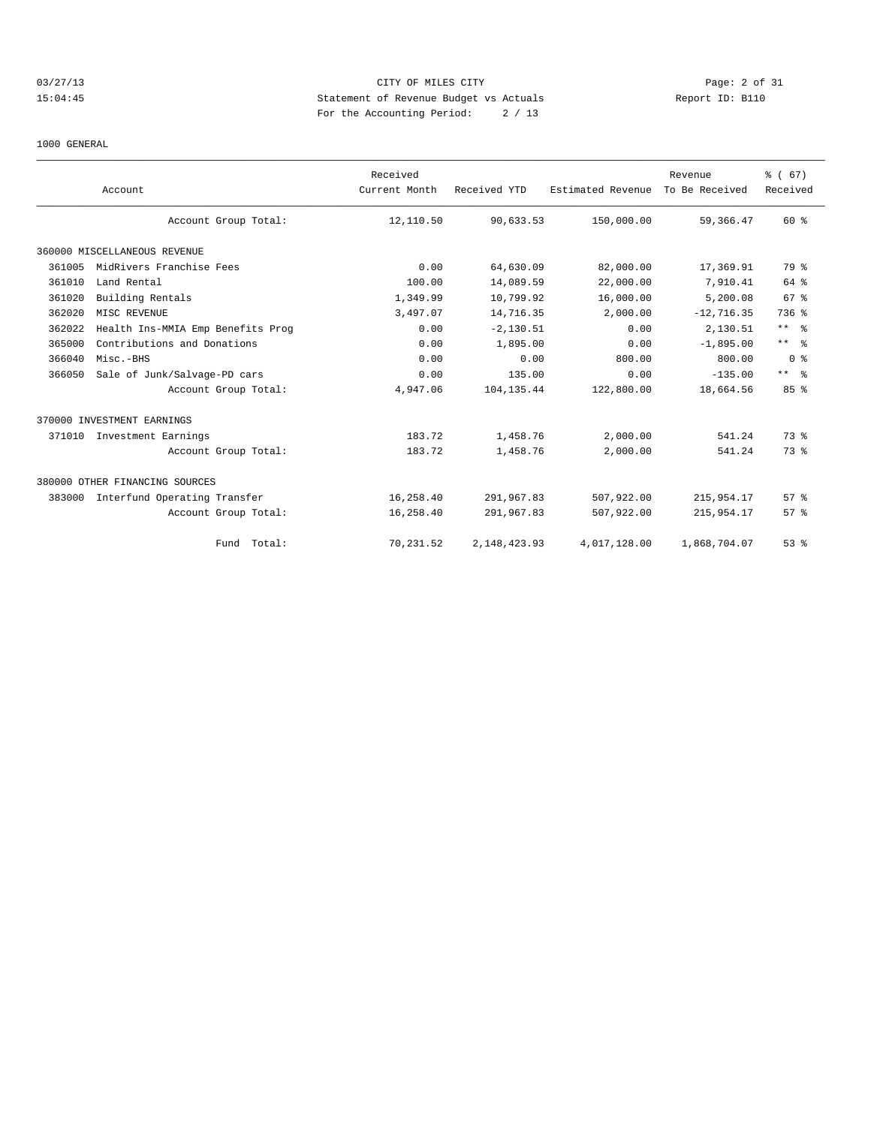# 03/27/13 Page: 2 of 31 15:04:45 Statement of Revenue Budget vs Actuals Report ID: B110 For the Accounting Period: 2 / 13

1000 GENERAL

|        | Account                           | Received<br>Current Month | Received YTD    | Estimated Revenue | Revenue<br>To Be Received | % (67)<br>Received |
|--------|-----------------------------------|---------------------------|-----------------|-------------------|---------------------------|--------------------|
|        | Account Group Total:              | 12,110.50                 | 90,633.53       | 150,000.00        | 59,366.47                 | 60 %               |
|        | 360000 MISCELLANEOUS REVENUE      |                           |                 |                   |                           |                    |
| 361005 | MidRivers Franchise Fees          | 0.00                      | 64,630.09       | 82,000.00         | 17,369.91                 | 79 %               |
| 361010 | Land Rental                       | 100.00                    | 14,089.59       | 22,000.00         | 7,910.41                  | 64 %               |
| 361020 | Building Rentals                  | 1,349.99                  | 10,799.92       | 16,000.00         | 5,200.08                  | 67 <sup>8</sup>    |
| 362020 | MISC REVENUE                      | 3,497.07                  | 14,716.35       | 2,000.00          | $-12, 716.35$             | 736 %              |
| 362022 | Health Ins-MMIA Emp Benefits Prog | 0.00                      | $-2, 130.51$    | 0.00              | 2,130.51                  | $***$ $\approx$    |
| 365000 | Contributions and Donations       | 0.00                      | 1,895.00        | 0.00              | $-1,895.00$               | $***$ $\approx$    |
| 366040 | Misc.-BHS                         | 0.00                      | 0.00            | 800.00            | 800.00                    | 0 <sup>8</sup>     |
| 366050 | Sale of Junk/Salvage-PD cars      | 0.00                      | 135.00          | 0.00              | $-135.00$                 | $***$ $ -$         |
|        | Account Group Total:              | 4,947.06                  | 104, 135.44     | 122,800.00        | 18,664.56                 | 85%                |
|        | 370000 INVESTMENT EARNINGS        |                           |                 |                   |                           |                    |
|        | 371010 Investment Earnings        | 183.72                    | 1,458.76        | 2,000.00          | 541.24                    | 73.8               |
|        | Account Group Total:              | 183.72                    | 1,458.76        | 2,000.00          | 541.24                    | 73.8               |
|        | 380000 OTHER FINANCING SOURCES    |                           |                 |                   |                           |                    |
| 383000 | Interfund Operating Transfer      | 16,258.40                 | 291,967.83      | 507,922.00        | 215,954.17                | 57%                |
|        | Account Group Total:              | 16,258.40                 | 291,967.83      | 507,922.00        | 215,954.17                | 57%                |
|        | Fund Total:                       | 70,231.52                 | 2, 148, 423. 93 | 4,017,128.00      | 1,868,704.07              | 53%                |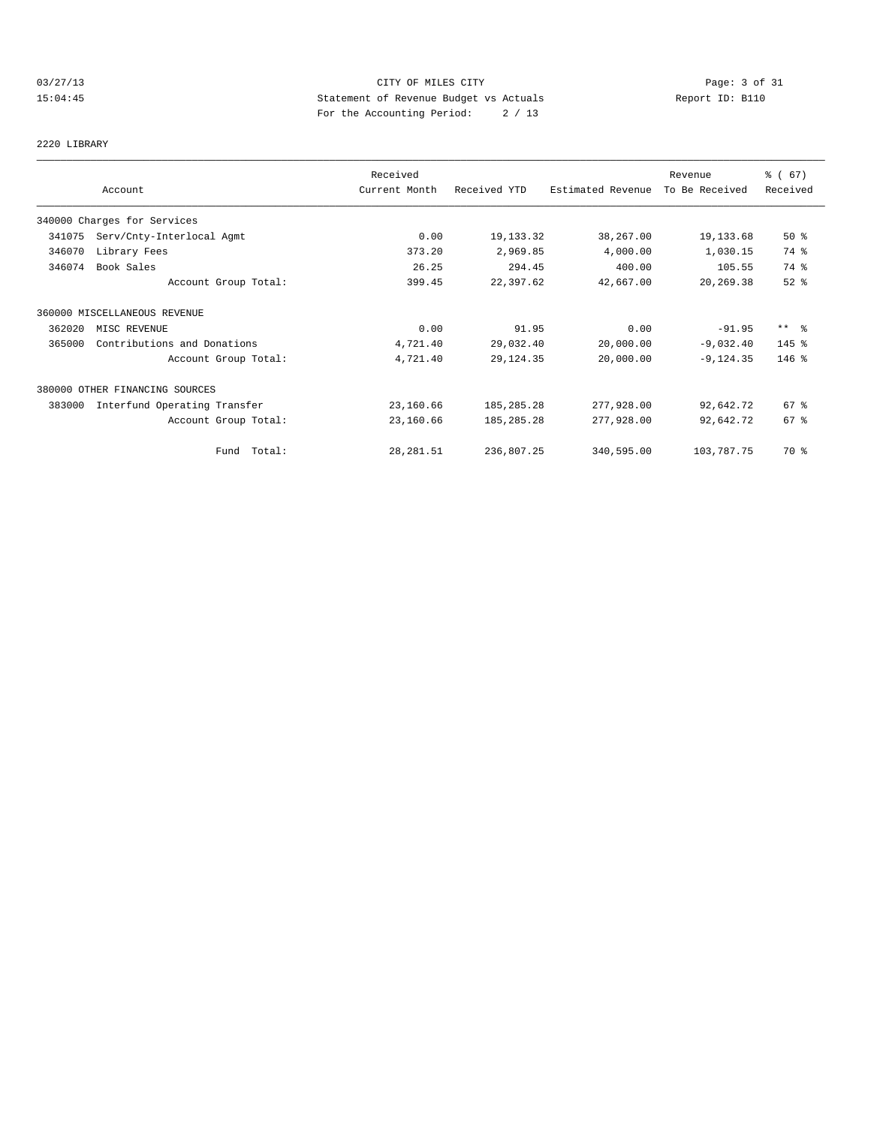# 03/27/13 Page: 3 of 31 15:04:45 Statement of Revenue Budget vs Actuals Report ID: B110 For the Accounting Period: 2 / 13

2220 LIBRARY

|        | Account                        | Received<br>Current Month | Received YTD | Estimated Revenue | Revenue<br>To Be Received | % (67)<br>Received |
|--------|--------------------------------|---------------------------|--------------|-------------------|---------------------------|--------------------|
|        | 340000 Charges for Services    |                           |              |                   |                           |                    |
| 341075 | Serv/Cnty-Interlocal Agmt      | 0.00                      | 19,133.32    | 38,267.00         | 19,133.68                 | 50%                |
| 346070 | Library Fees                   | 373.20                    | 2,969.85     | 4,000.00          | 1,030.15                  | 74 %               |
| 346074 | Book Sales                     | 26.25                     | 294.45       | 400.00            | 105.55                    | 74 %               |
|        | Account Group Total:           | 399.45                    | 22,397.62    | 42,667.00         | 20,269.38                 | $52$ $%$           |
|        | 360000 MISCELLANEOUS REVENUE   |                           |              |                   |                           |                    |
| 362020 | MISC REVENUE                   | 0.00                      | 91.95        | 0.00              | $-91.95$                  | $***$ $\approx$    |
| 365000 | Contributions and Donations    | 4,721.40                  | 29,032.40    | 20,000.00         | $-9,032.40$               | $145$ %            |
|        | Account Group Total:           | 4,721.40                  | 29, 124.35   | 20,000.00         | $-9, 124.35$              | $146$ %            |
|        | 380000 OTHER FINANCING SOURCES |                           |              |                   |                           |                    |
| 383000 | Interfund Operating Transfer   | 23,160.66                 | 185, 285. 28 | 277,928.00        | 92,642.72                 | 67 %               |
|        | Account Group Total:           | 23,160.66                 | 185, 285. 28 | 277,928.00        | 92,642.72                 | 67%                |
|        | Fund Total:                    | 28, 281.51                | 236,807.25   | 340,595.00        | 103,787.75                | 70 %               |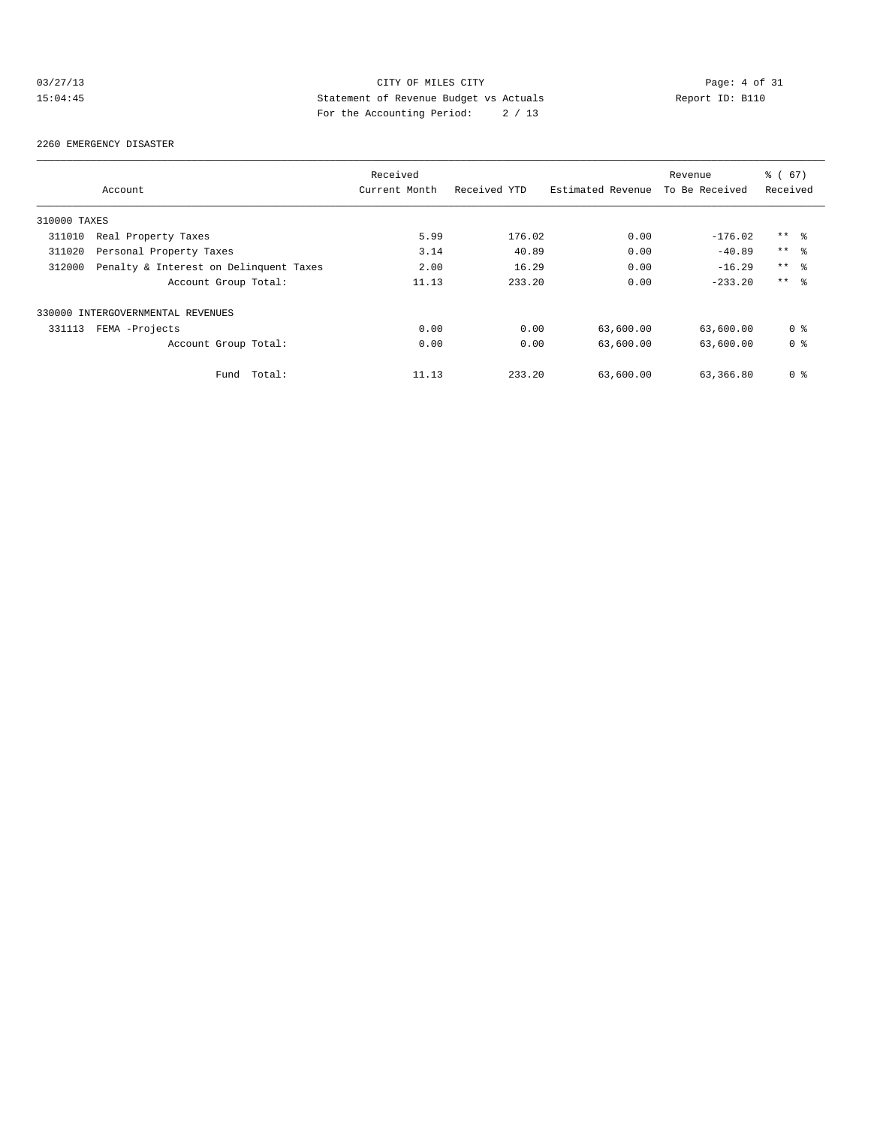# 03/27/13 Page: 4 of 31 15:04:45 Statement of Revenue Budget vs Actuals Report ID: B110 For the Accounting Period: 2 / 13

#### 2260 EMERGENCY DISASTER

|              |                                        | Received      |              |                   | Revenue        | % (67)         |
|--------------|----------------------------------------|---------------|--------------|-------------------|----------------|----------------|
|              | Account                                | Current Month | Received YTD | Estimated Revenue | To Be Received | Received       |
| 310000 TAXES |                                        |               |              |                   |                |                |
| 311010       | Real Property Taxes                    | 5.99          | 176.02       | 0.00              | $-176.02$      | $***$ %        |
| 311020       | Personal Property Taxes                | 3.14          | 40.89        | 0.00              | $-40.89$       | $***$ $ -$     |
| 312000       | Penalty & Interest on Delinquent Taxes | 2.00          | 16.29        | 0.00              | $-16.29$       | $***$ %        |
|              | Account Group Total:                   | 11.13         | 233.20       | 0.00              | $-233.20$      | $***$ $ -$     |
|              | 330000 INTERGOVERNMENTAL REVENUES      |               |              |                   |                |                |
| 331113       | FEMA -Projects                         | 0.00          | 0.00         | 63,600.00         | 63,600.00      | 0 <sub>8</sub> |
|              | Account Group Total:                   | 0.00          | 0.00         | 63,600.00         | 63,600.00      | 0 <sub>8</sub> |
|              | Total:<br>Fund                         | 11.13         | 233.20       | 63,600.00         | 63,366.80      | 0 <sup>8</sup> |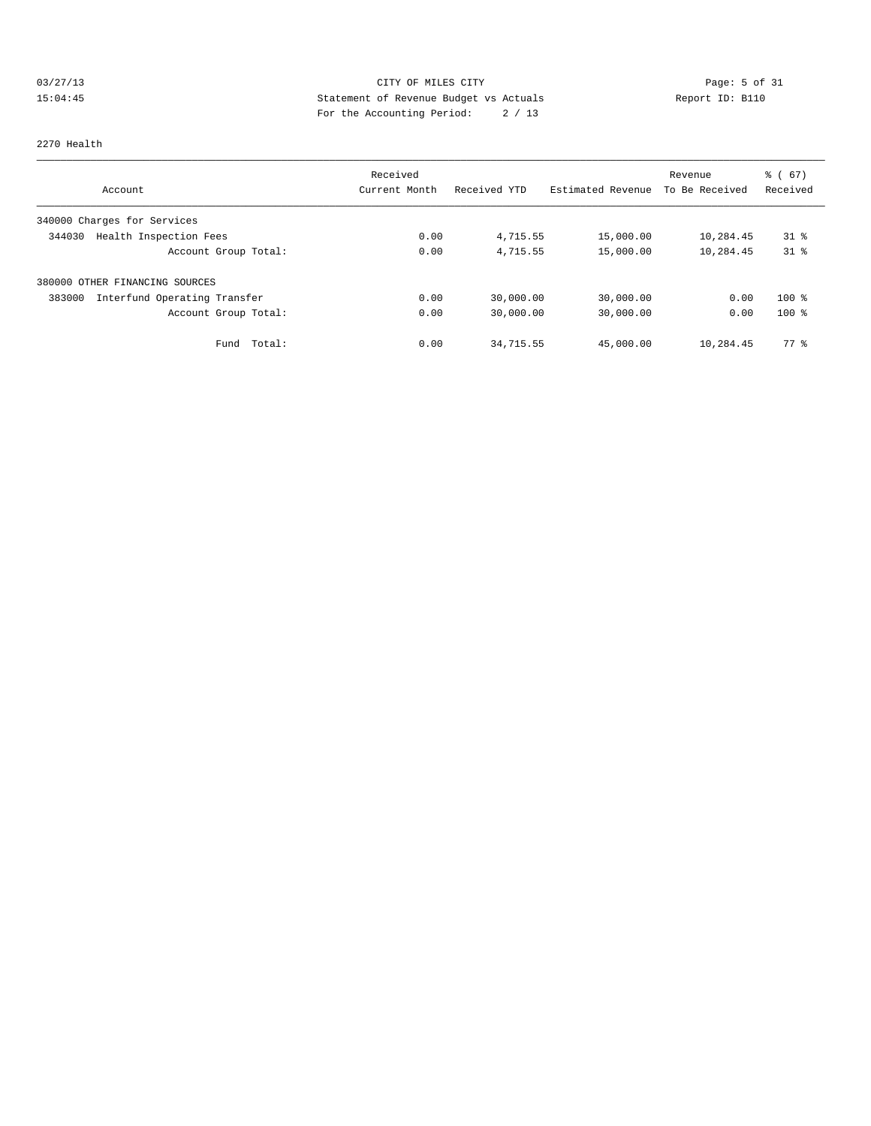# 03/27/13 Page: 5 of 31 15:04:45 Statement of Revenue Budget vs Actuals Report ID: B110<br>Report ID: B110 For the Accounting Period: 2 / 13

#### 2270 Health

|                                        | Received      |              |                   | Revenue        | % (67)         |
|----------------------------------------|---------------|--------------|-------------------|----------------|----------------|
| Account                                | Current Month | Received YTD | Estimated Revenue | To Be Received | Received       |
| 340000 Charges for Services            |               |              |                   |                |                |
| Health Inspection Fees<br>344030       | 0.00          | 4,715.55     | 15,000.00         | 10,284.45      | $31$ $\approx$ |
| Account Group Total:                   | 0.00          | 4,715.55     | 15,000.00         | 10,284.45      | $31$ $\approx$ |
| 380000 OTHER FINANCING SOURCES         |               |              |                   |                |                |
| Interfund Operating Transfer<br>383000 | 0.00          | 30,000.00    | 30,000.00         | 0.00           | $100*$         |
| Account Group Total:                   | 0.00          | 30,000.00    | 30,000.00         | 0.00           | $100*$         |
| Total:<br>Fund                         | 0.00          | 34,715.55    | 45,000.00         | 10,284.45      | $77*$          |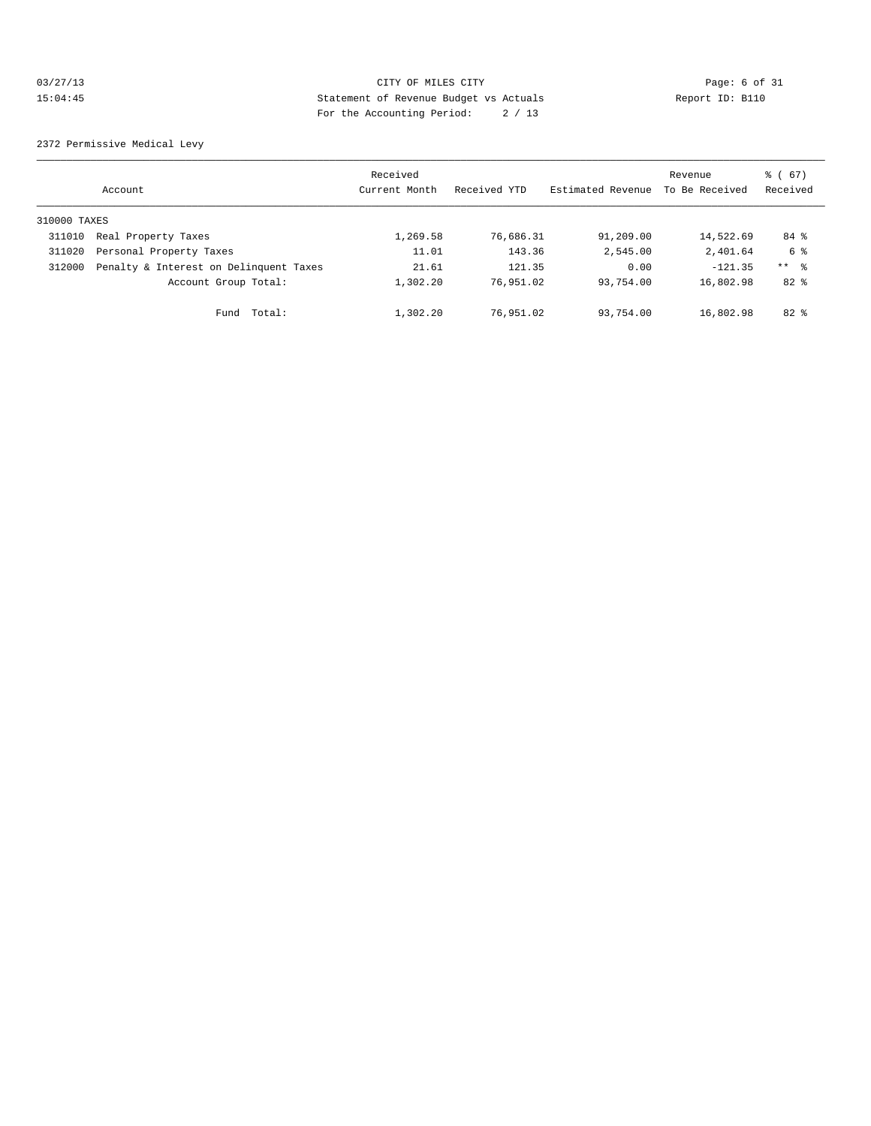#### 03/27/13 Page: 6 of 31 15:04:45 Statement of Revenue Budget vs Actuals Report ID: B110 For the Accounting Period: 2 / 13

2372 Permissive Medical Levy

|              | Account                                | Received<br>Current Month | Received YTD | Estimated Revenue | Revenue<br>To Be Received | % (67)<br>Received |
|--------------|----------------------------------------|---------------------------|--------------|-------------------|---------------------------|--------------------|
| 310000 TAXES |                                        |                           |              |                   |                           |                    |
| 311010       | Real Property Taxes                    | 1,269.58                  | 76,686.31    | 91,209.00         | 14,522.69                 | 84 %               |
| 311020       | Personal Property Taxes                | 11.01                     | 143.36       | 2,545.00          | 2,401.64                  | 6 %                |
| 312000       | Penalty & Interest on Delinquent Taxes | 21.61                     | 121.35       | 0.00              | $-121.35$                 | ** 왕               |
|              | Account Group Total:                   | 1,302.20                  | 76,951.02    | 93,754.00         | 16,802.98                 | $82*$              |
|              | Total:<br>Fund                         | 1,302.20                  | 76,951.02    | 93,754.00         | 16,802.98                 | $82$ $%$           |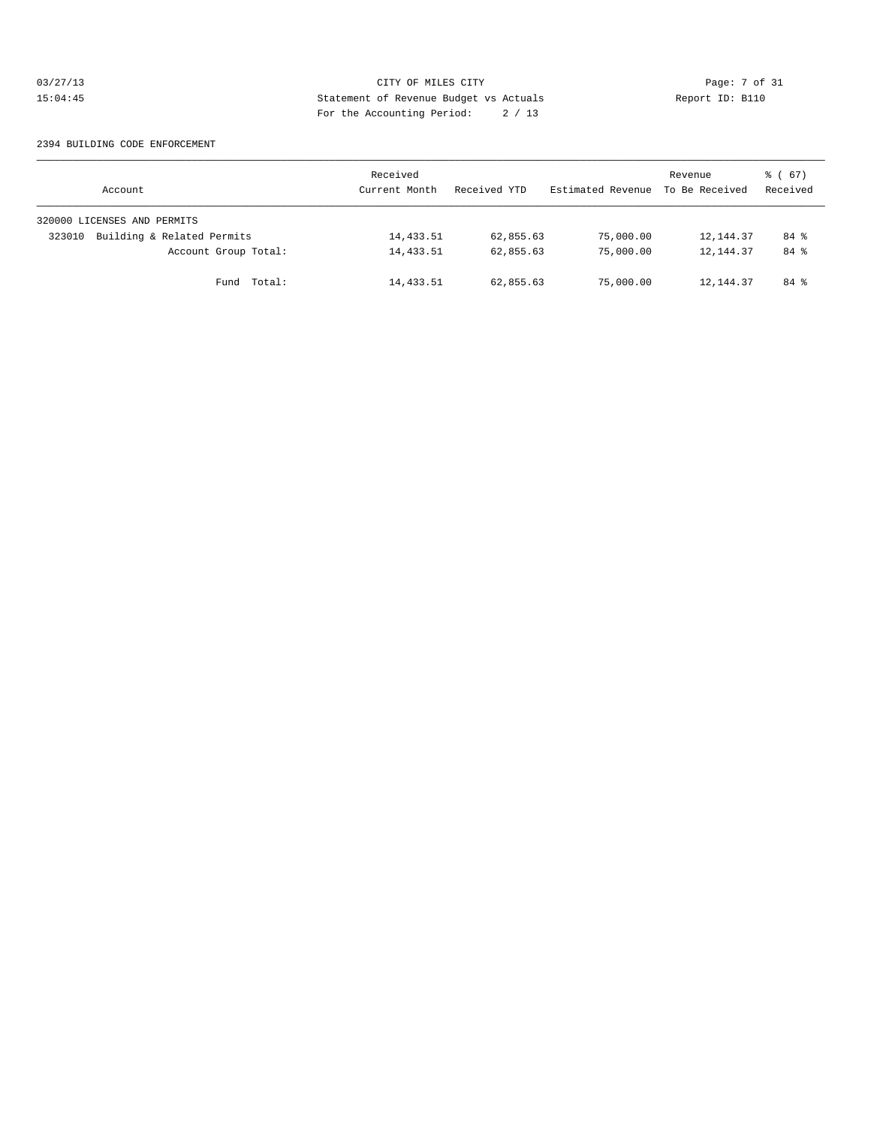# 03/27/13 Page: 7 of 31 15:04:45 Statement of Revenue Budget vs Actuals Report ID: B110<br>Report ID: B110 For the Accounting Period: 2 / 13

#### 2394 BUILDING CODE ENFORCEMENT

| Account                              | Received<br>Current Month | Received YTD | Estimated Revenue | Revenue<br>To Be Received | 8 ( 67 )<br>Received |
|--------------------------------------|---------------------------|--------------|-------------------|---------------------------|----------------------|
| 320000 LICENSES AND PERMITS          |                           |              |                   |                           |                      |
| Building & Related Permits<br>323010 | 14,433.51                 | 62,855.63    | 75,000.00         | 12,144.37                 | 84 %                 |
| Account Group Total:                 | 14,433.51                 | 62,855.63    | 75,000.00         | 12,144.37                 | 84 %                 |
| Fund Total:                          | 14,433.51                 | 62,855.63    | 75,000.00         | 12,144.37                 | $84*$                |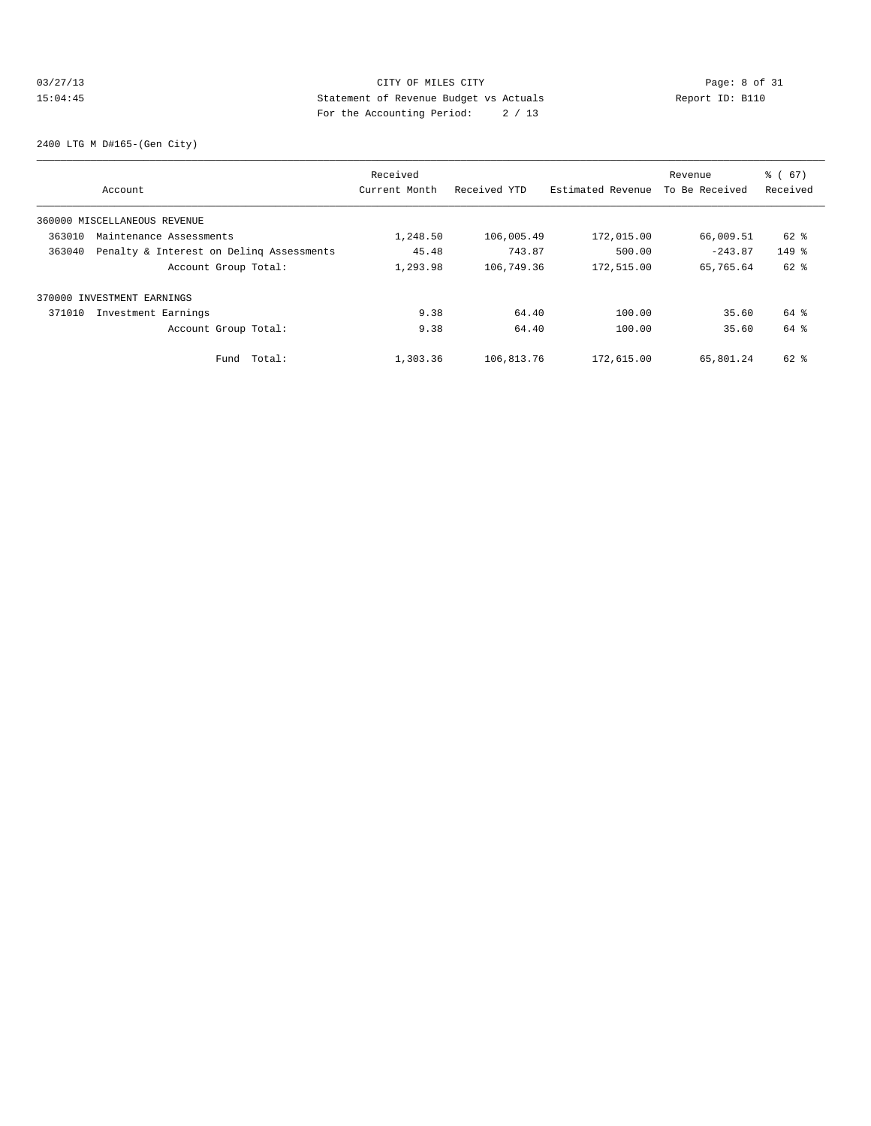#### 03/27/13 Page: 8 of 31 15:04:45 Statement of Revenue Budget vs Actuals Report ID: B110 For the Accounting Period: 2 / 13

2400 LTG M D#165-(Gen City)

|        |                                          | Received      |              |                   | Revenue        | % (67)   |
|--------|------------------------------------------|---------------|--------------|-------------------|----------------|----------|
|        | Account                                  | Current Month | Received YTD | Estimated Revenue | To Be Received | Received |
|        | 360000 MISCELLANEOUS REVENUE             |               |              |                   |                |          |
| 363010 | Maintenance Assessments                  | 1,248.50      | 106,005.49   | 172,015.00        | 66,009.51      | $62$ $%$ |
| 363040 | Penalty & Interest on Deling Assessments | 45.48         | 743.87       | 500.00            | $-243.87$      | $149$ %  |
|        | Account Group Total:                     | 1,293.98      | 106,749.36   | 172,515.00        | 65,765.64      | 62 %     |
|        | 370000 INVESTMENT EARNINGS               |               |              |                   |                |          |
| 371010 | Investment Earnings                      | 9.38          | 64.40        | 100.00            | 35.60          | 64 %     |
|        | Account Group Total:                     | 9.38          | 64.40        | 100.00            | 35.60          | 64 %     |
|        | Total:<br>Fund                           | 1,303.36      | 106,813.76   | 172,615.00        | 65,801.24      | $62$ $%$ |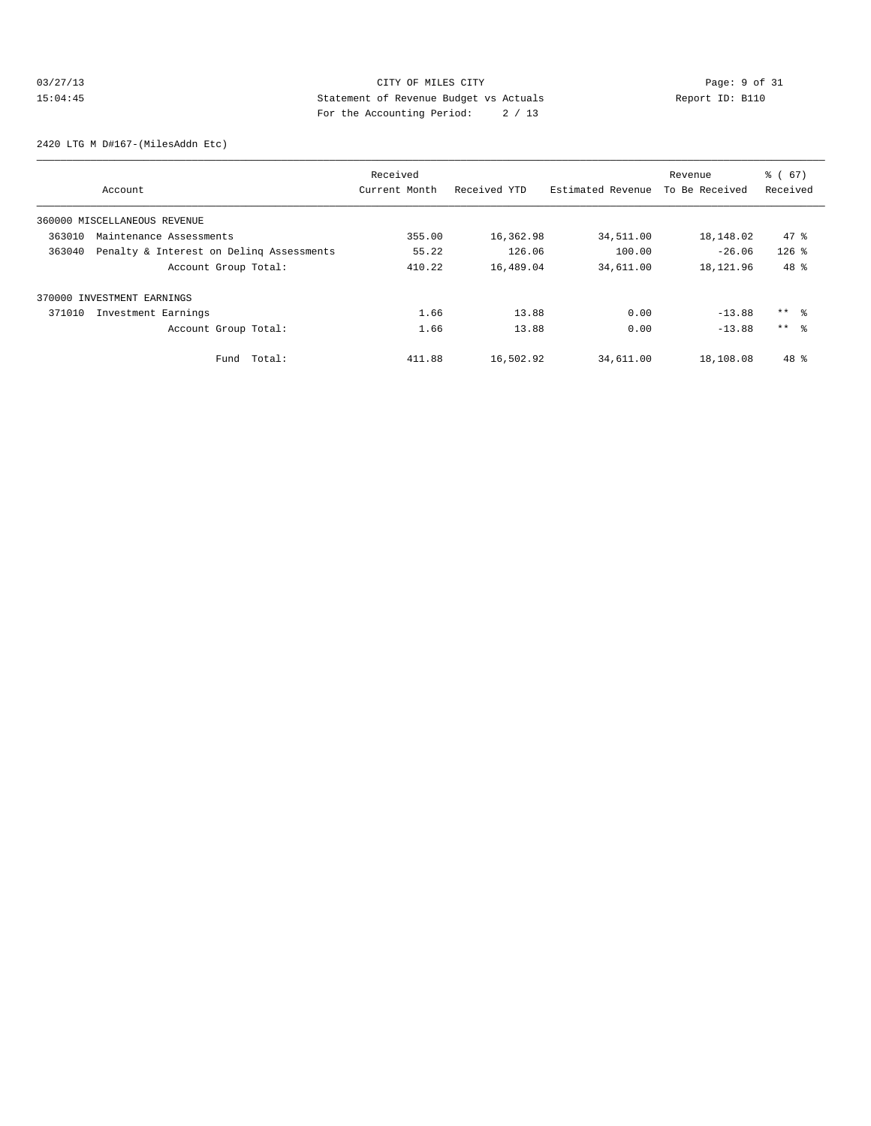# 03/27/13 CITY OF MILES CITY Page: 9 of 31<br>15:04:45 Statement of Revenue Budget vs Actuals Report ID: B110<br>2.1 Page: 11:04:45 Statement of Revenue Budget vs Actuals 15:04:45 Statement of Revenue Budget vs Actuals Report ID: B110 For the Accounting Period: 2 / 13

2420 LTG M D#167-(MilesAddn Etc)

|        |                                          | Received      |              |                   | Revenue        | % (67)   |
|--------|------------------------------------------|---------------|--------------|-------------------|----------------|----------|
|        | Account                                  | Current Month | Received YTD | Estimated Revenue | To Be Received | Received |
|        | 360000 MISCELLANEOUS REVENUE             |               |              |                   |                |          |
| 363010 | Maintenance Assessments                  | 355.00        | 16,362.98    | 34,511.00         | 18,148.02      | 47.8     |
| 363040 | Penalty & Interest on Deling Assessments | 55.22         | 126.06       | 100.00            | $-26.06$       | $126$ %  |
|        | Account Group Total:                     | 410.22        | 16,489.04    | 34,611.00         | 18,121.96      | $48*$    |
|        | 370000 INVESTMENT EARNINGS               |               |              |                   |                |          |
| 371010 | Investment Earnings                      | 1.66          | 13.88        | 0.00              | $-13.88$       | $***$ %  |
|        | Account Group Total:                     | 1.66          | 13.88        | 0.00              | $-13.88$       | $***$ %  |
|        | Total:<br>Fund                           | 411.88        | 16,502.92    | 34,611.00         | 18,108.08      | $48*$    |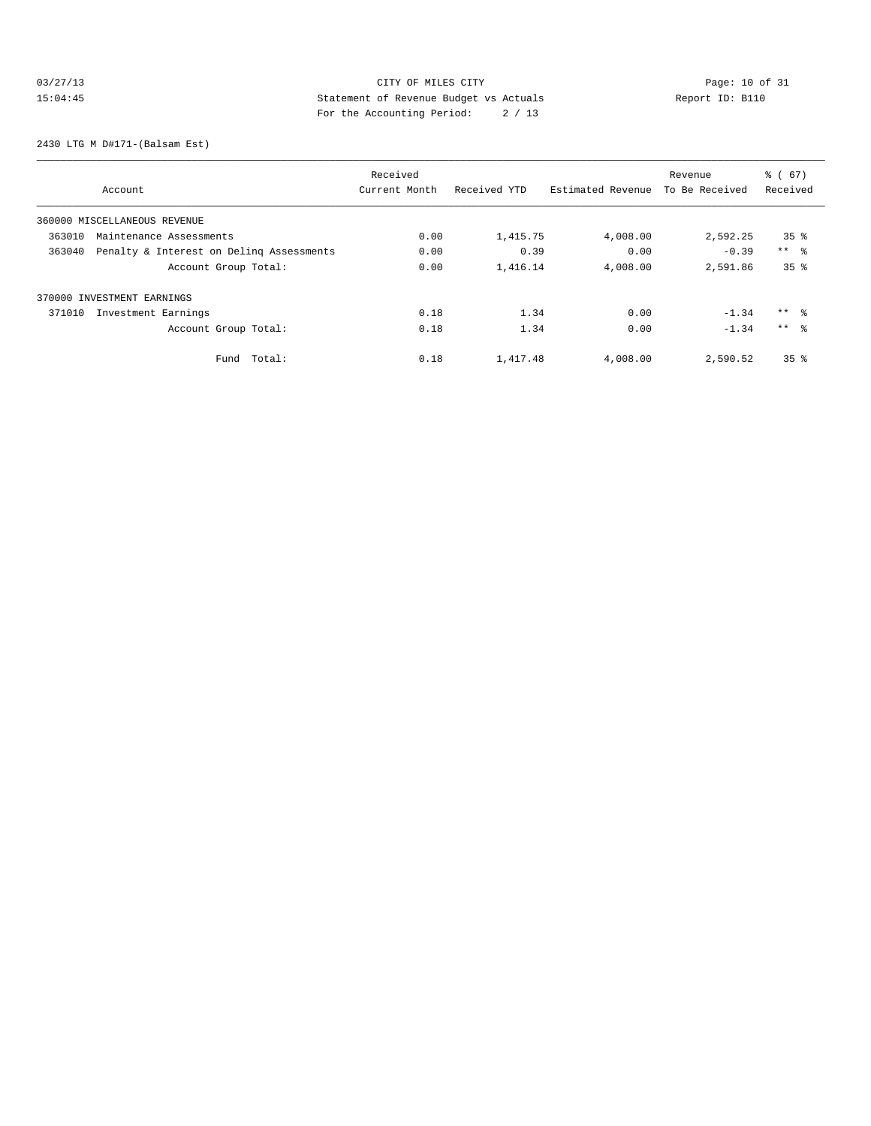# 03/27/13 Page: 10 of 31 15:04:45 Statement of Revenue Budget vs Actuals Report ID: B110<br>Report ID: B110 For the Accounting Period: 2 / 13

2430 LTG M D#171-(Balsam Est)

|                                                    | Received      |              | Revenue           |                | % (67)          |
|----------------------------------------------------|---------------|--------------|-------------------|----------------|-----------------|
| Account                                            | Current Month | Received YTD | Estimated Revenue | To Be Received | Received        |
| 360000 MISCELLANEOUS REVENUE                       |               |              |                   |                |                 |
| 363010<br>Maintenance Assessments                  | 0.00          | 1,415.75     | 4,008.00          | 2,592.25       | 35 <sup>8</sup> |
| Penalty & Interest on Deling Assessments<br>363040 | 0.00          | 0.39         | 0.00              | $-0.39$        | $***$ %         |
| Account Group Total:                               | 0.00          | 1,416.14     | 4,008.00          | 2,591.86       | 35 <sup>8</sup> |
| 370000 INVESTMENT EARNINGS                         |               |              |                   |                |                 |
| 371010<br>Investment Earnings                      | 0.18          | 1.34         | 0.00              | $-1.34$        | $***$ %         |
| Account Group Total:                               | 0.18          | 1.34         | 0.00              | $-1.34$        | $***$ $\approx$ |
| Total:<br>Fund                                     | 0.18          | 1,417.48     | 4,008.00          | 2,590.52       | 35 <sup>8</sup> |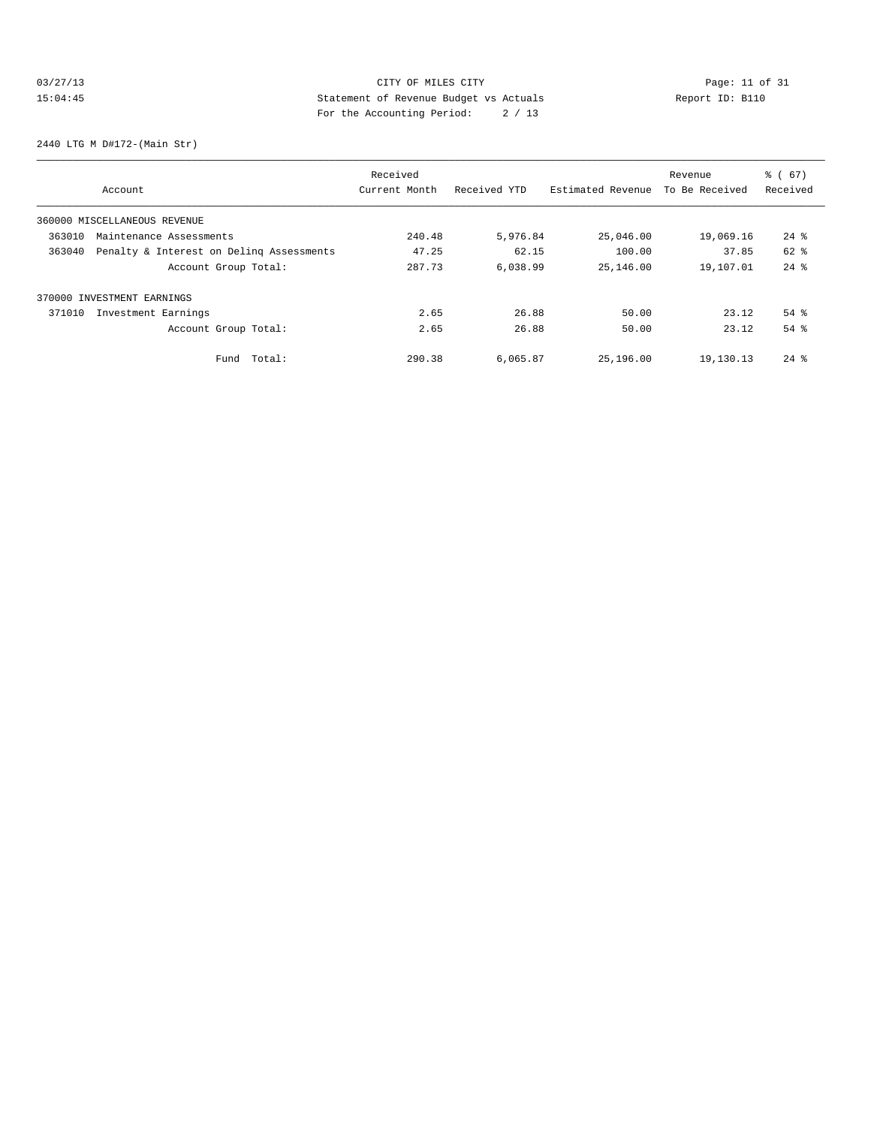# 03/27/13 Page: 11 of 31 15:04:45 Statement of Revenue Budget vs Actuals Report ID: B110 For the Accounting Period: 2 / 13

2440 LTG M D#172-(Main Str)

|        |                                          | Received      |              |                   | Revenue        | % (67)             |
|--------|------------------------------------------|---------------|--------------|-------------------|----------------|--------------------|
|        | Account                                  | Current Month | Received YTD | Estimated Revenue | To Be Received | Received           |
|        | 360000 MISCELLANEOUS REVENUE             |               |              |                   |                |                    |
| 363010 | Maintenance Assessments                  | 240.48        | 5,976.84     | 25,046.00         | 19,069.16      | $24$ $\frac{6}{5}$ |
| 363040 | Penalty & Interest on Deling Assessments | 47.25         | 62.15        | 100.00            | 37.85          | 62 %               |
|        | Account Group Total:                     | 287.73        | 6,038.99     | 25,146.00         | 19,107.01      | $24$ $%$           |
|        | 370000 INVESTMENT EARNINGS               |               |              |                   |                |                    |
| 371010 | Investment Earnings                      | 2.65          | 26.88        | 50.00             | 23.12          | $54$ $\frac{6}{3}$ |
|        | Account Group Total:                     | 2.65          | 26.88        | 50.00             | 23.12          | 54%                |
|        | Total:<br>Fund                           | 290.38        | 6,065.87     | 25,196.00         | 19,130.13      | $24$ $\frac{6}{3}$ |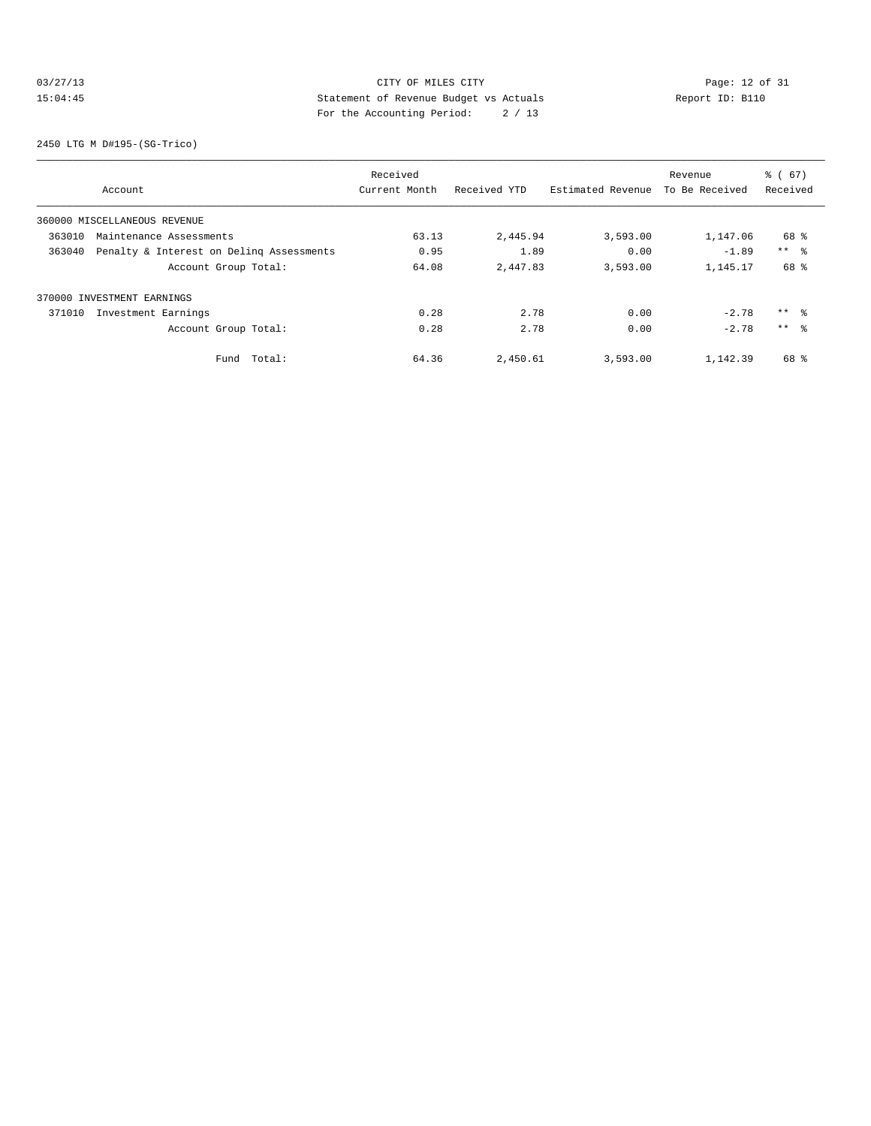# 03/27/13 Page: 12 of 31 15:04:45 Statement of Revenue Budget vs Actuals Report ID: B110 For the Accounting Period: 2 / 13

2450 LTG M D#195-(SG-Trico)

|        |                                          | Received      |              |                   | Revenue        | % (67)          |
|--------|------------------------------------------|---------------|--------------|-------------------|----------------|-----------------|
|        | Account                                  | Current Month | Received YTD | Estimated Revenue | To Be Received | Received        |
|        | 360000 MISCELLANEOUS REVENUE             |               |              |                   |                |                 |
| 363010 | Maintenance Assessments                  | 63.13         | 2,445.94     | 3,593.00          | 1,147.06       | 68 %            |
| 363040 | Penalty & Interest on Deling Assessments | 0.95          | 1.89         | 0.00              | $-1.89$        | $***$ %         |
|        | Account Group Total:                     | 64.08         | 2,447.83     | 3,593.00          | 1,145.17       | 68 %            |
|        | 370000 INVESTMENT EARNINGS               |               |              |                   |                |                 |
| 371010 | Investment Earnings                      | 0.28          | 2.78         | 0.00              | $-2.78$        | ** %            |
|        | Account Group Total:                     | 0.28          | 2.78         | 0.00              | $-2.78$        | $***$ $\approx$ |
|        | Total:<br>Fund                           | 64.36         | 2,450.61     | 3,593.00          | 1,142.39       | 68 %            |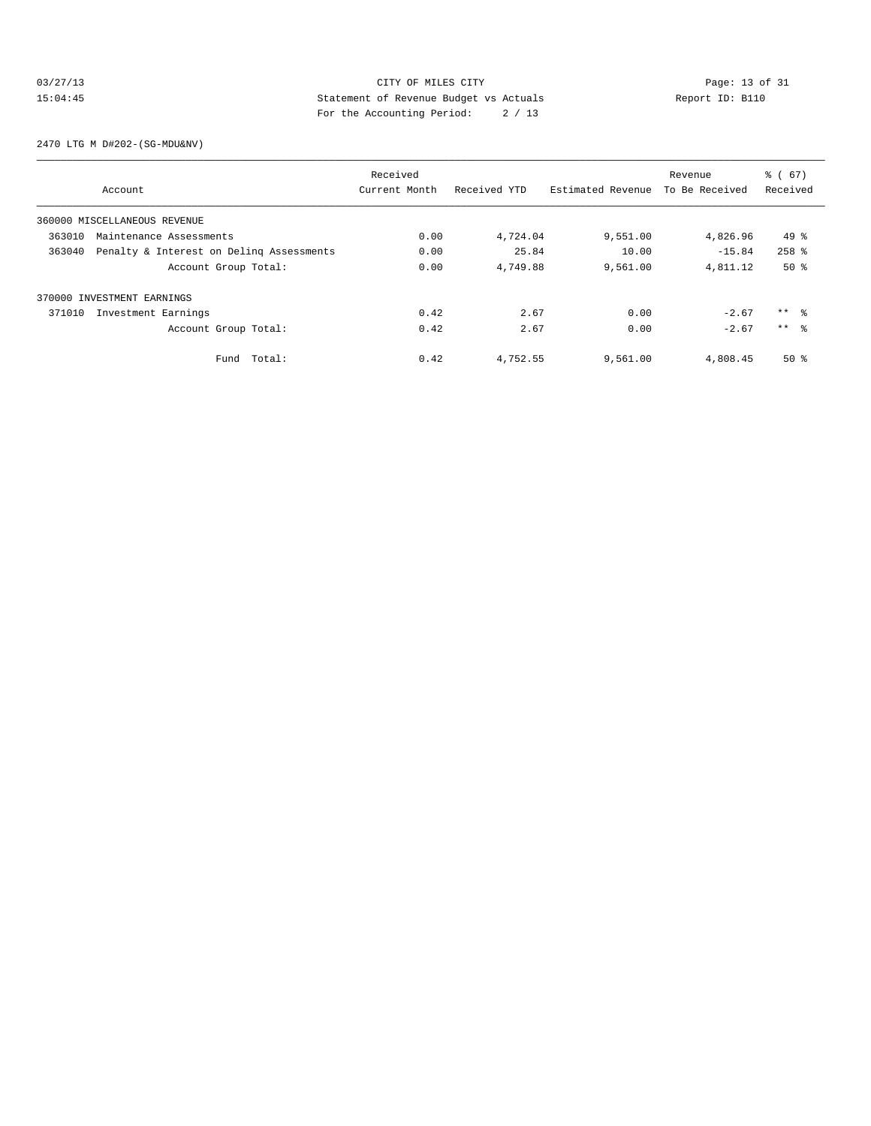#### 03/27/13 Page: 13 of 31 15:04:45 Statement of Revenue Budget vs Actuals Report ID: B110 For the Accounting Period: 2 / 13

2470 LTG M D#202-(SG-MDU&NV)

|        |                                          | Received      |              |                   | Revenue        | % (67)          |
|--------|------------------------------------------|---------------|--------------|-------------------|----------------|-----------------|
|        | Account                                  | Current Month | Received YTD | Estimated Revenue | To Be Received | Received        |
|        | 360000 MISCELLANEOUS REVENUE             |               |              |                   |                |                 |
| 363010 | Maintenance Assessments                  | 0.00          | 4,724.04     | 9,551.00          | 4,826.96       | $49*$           |
| 363040 | Penalty & Interest on Deling Assessments | 0.00          | 25.84        | 10.00             | $-15.84$       | $258$ $%$       |
|        | Account Group Total:                     | 0.00          | 4,749.88     | 9,561.00          | 4,811.12       | $50*$           |
|        | 370000 INVESTMENT EARNINGS               |               |              |                   |                |                 |
| 371010 | Investment Earnings                      | 0.42          | 2.67         | 0.00              | $-2.67$        | $***$ $\approx$ |
|        | Account Group Total:                     | 0.42          | 2.67         | 0.00              | $-2.67$        | $***$ $\approx$ |
|        | Total:<br>Fund                           | 0.42          | 4,752.55     | 9,561.00          | 4,808.45       | 50%             |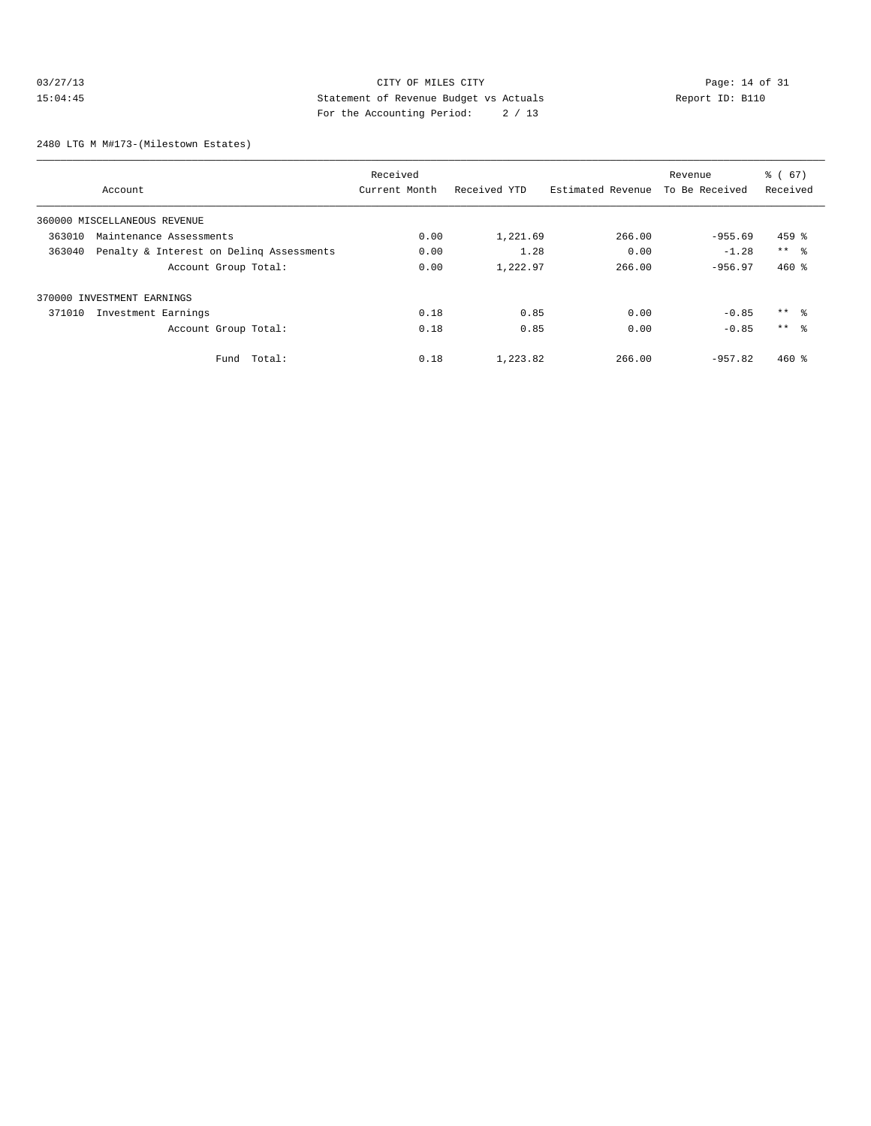#### 03/27/13 Page: 14 of 31 15:04:45 Statement of Revenue Budget vs Actuals Report ID: B110 For the Accounting Period: 2 / 13

2480 LTG M M#173-(Milestown Estates)

|                                                    | Received      |              |                   | Revenue        | % (67)          |
|----------------------------------------------------|---------------|--------------|-------------------|----------------|-----------------|
| Account                                            | Current Month | Received YTD | Estimated Revenue | To Be Received | Received        |
| 360000 MISCELLANEOUS REVENUE                       |               |              |                   |                |                 |
| 363010<br>Maintenance Assessments                  | 0.00          | 1,221.69     | 266.00            | $-955.69$      | $459$ %         |
| Penalty & Interest on Deling Assessments<br>363040 | 0.00          | 1.28         | 0.00              | $-1.28$        | $***$ $\approx$ |
| Account Group Total:                               | 0.00          | 1,222.97     | 266.00            | $-956.97$      | $460*$          |
| 370000 INVESTMENT EARNINGS                         |               |              |                   |                |                 |
| Investment Earnings<br>371010                      | 0.18          | 0.85         | 0.00              | $-0.85$        | $***$ %         |
| Account Group Total:                               | 0.18          | 0.85         | 0.00              | $-0.85$        | $***$ $\approx$ |
| Total:<br>Fund                                     | 0.18          | 1,223.82     | 266.00            | $-957.82$      | $460*$          |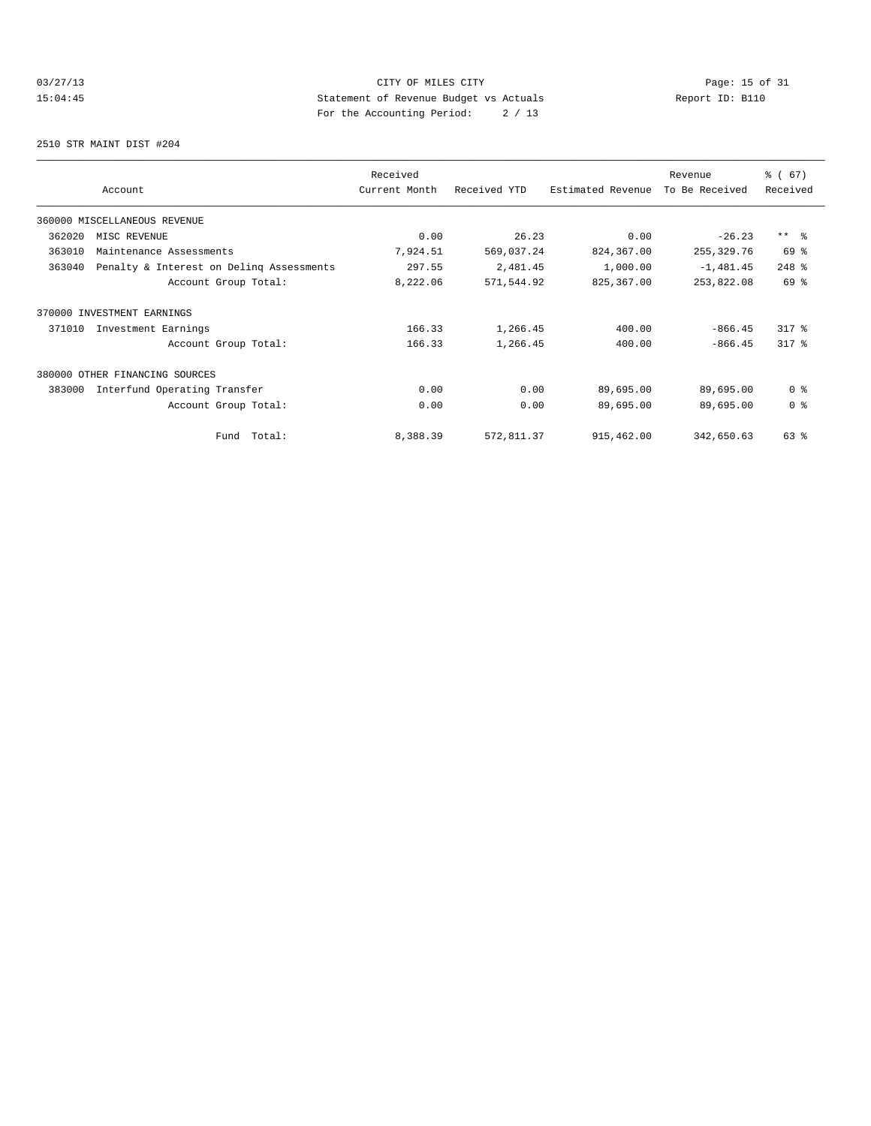# 03/27/13 Page: 15 of 31 15:04:45 Statement of Revenue Budget vs Actuals Report ID: B110 For the Accounting Period: 2 / 13

2510 STR MAINT DIST #204

|        | Account                                  | Received<br>Current Month | Received YTD | Estimated Revenue | Revenue<br>To Be Received | % (67)<br>Received |
|--------|------------------------------------------|---------------------------|--------------|-------------------|---------------------------|--------------------|
|        |                                          |                           |              |                   |                           |                    |
|        | 360000 MISCELLANEOUS REVENUE             |                           |              |                   |                           |                    |
| 362020 | MISC REVENUE                             | 0.00                      | 26.23        | 0.00              | $-26.23$                  | $***$ $\approx$    |
| 363010 | Maintenance Assessments                  | 7,924.51                  | 569,037.24   | 824,367.00        | 255,329.76                | 69 %               |
| 363040 | Penalty & Interest on Deling Assessments | 297.55                    | 2,481.45     | 1,000.00          | $-1,481.45$               | 248 %              |
|        | Account Group Total:                     | 8,222.06                  | 571,544.92   | 825,367.00        | 253,822.08                | 69 %               |
|        | 370000 INVESTMENT EARNINGS               |                           |              |                   |                           |                    |
| 371010 | Investment Earnings                      | 166.33                    | 1,266.45     | 400.00            | $-866.45$                 | $317$ $%$          |
|        | Account Group Total:                     | 166.33                    | 1,266.45     | 400.00            | $-866.45$                 | $317$ $%$          |
|        | 380000 OTHER FINANCING SOURCES           |                           |              |                   |                           |                    |
| 383000 | Interfund Operating Transfer             | 0.00                      | 0.00         | 89,695.00         | 89,695.00                 | 0 <sup>8</sup>     |
|        | Account Group Total:                     | 0.00                      | 0.00         | 89,695.00         | 89,695.00                 | 0 <sup>8</sup>     |
|        | Total:<br>Fund                           | 8,388.39                  | 572,811.37   | 915,462.00        | 342,650.63                | 63 %               |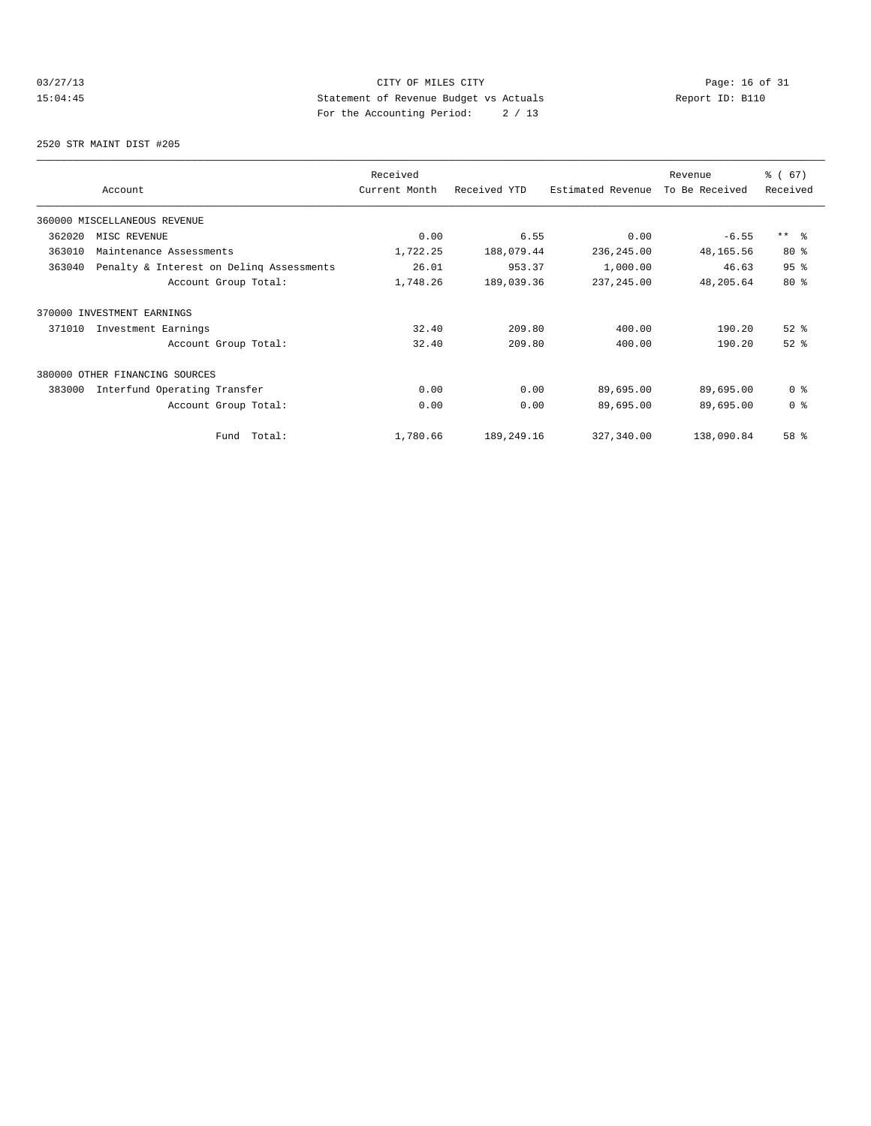# 03/27/13 Page: 16 of 31 15:04:45 Statement of Revenue Budget vs Actuals Report ID: B110 For the Accounting Period: 2 / 13

2520 STR MAINT DIST #205

|        |                                          | Received      |              |                   | Revenue        | % (67)          |
|--------|------------------------------------------|---------------|--------------|-------------------|----------------|-----------------|
|        | Account                                  | Current Month | Received YTD | Estimated Revenue | To Be Received | Received        |
|        | 360000 MISCELLANEOUS REVENUE             |               |              |                   |                |                 |
| 362020 | MISC REVENUE                             | 0.00          | 6.55         | 0.00              | $-6.55$        | $***$ $\approx$ |
| 363010 | Maintenance Assessments                  | 1,722.25      | 188,079.44   | 236,245.00        | 48,165.56      | $80*$           |
| 363040 | Penalty & Interest on Deling Assessments | 26.01         | 953.37       | 1,000.00          | 46.63          | 95%             |
|        | Account Group Total:                     | 1,748.26      | 189,039.36   | 237, 245.00       | 48,205.64      | $80*$           |
|        | 370000 INVESTMENT EARNINGS               |               |              |                   |                |                 |
| 371010 | Investment Earnings                      | 32.40         | 209.80       | 400.00            | 190.20         | $52$ $%$        |
|        | Account Group Total:                     | 32.40         | 209.80       | 400.00            | 190.20         | $52$ $%$        |
|        | 380000 OTHER FINANCING SOURCES           |               |              |                   |                |                 |
| 383000 | Interfund Operating Transfer             | 0.00          | 0.00         | 89,695.00         | 89,695.00      | 0 <sup>8</sup>  |
|        | Account Group Total:                     | 0.00          | 0.00         | 89,695.00         | 89,695.00      | 0 <sup>8</sup>  |
|        | Total:<br>Fund                           | 1,780.66      | 189,249.16   | 327,340.00        | 138,090.84     | 58 %            |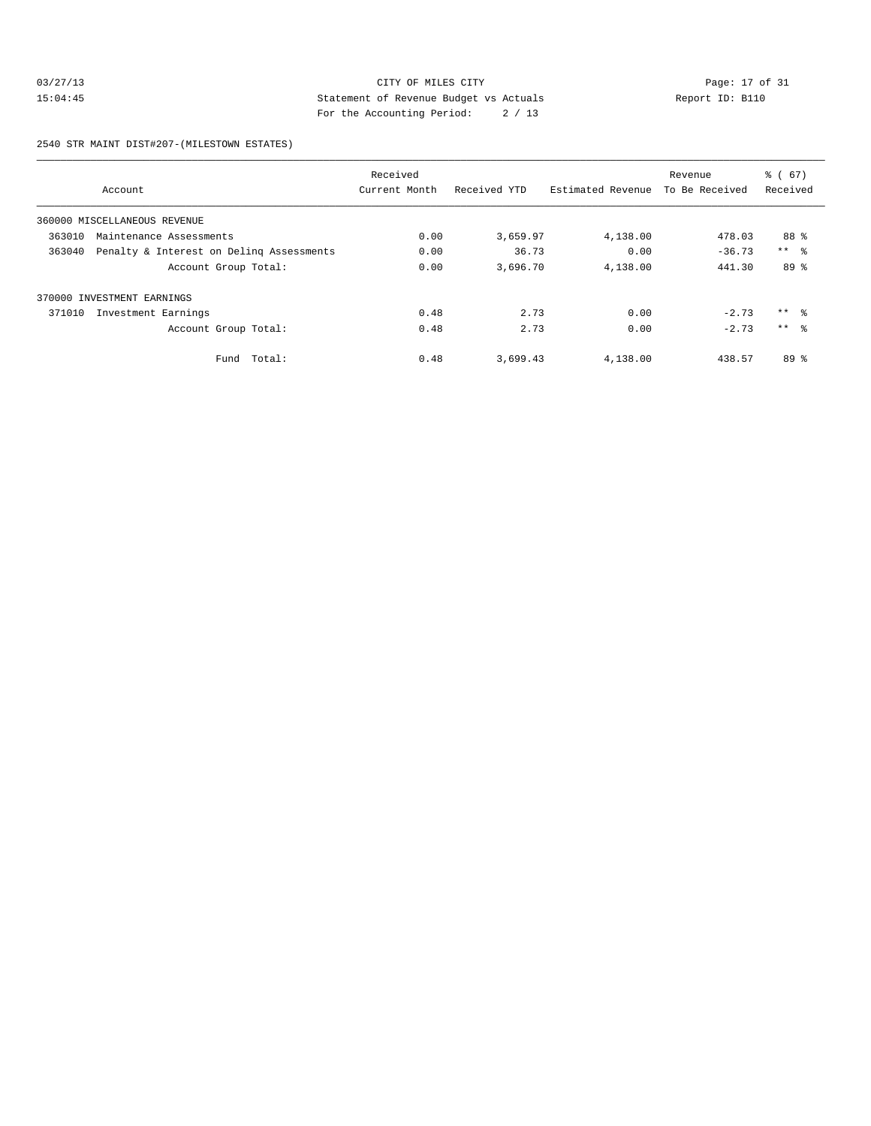#### 03/27/13 CITY OF MILES CITY<br>15:04:45 Page: 17 of 31<br>15:04:45 Page: 17 of 31<br>15:04:45 Page: 18:04:45 Page: 18:04:45 15:04:45 Statement of Revenue Budget vs Actuals Report ID: B110 For the Accounting Period: 2 / 13

2540 STR MAINT DIST#207-(MILESTOWN ESTATES)

|        |                                          | Received      |              |                   | Revenue        | % (67)          |
|--------|------------------------------------------|---------------|--------------|-------------------|----------------|-----------------|
|        | Account                                  | Current Month | Received YTD | Estimated Revenue | To Be Received | Received        |
|        | 360000 MISCELLANEOUS REVENUE             |               |              |                   |                |                 |
| 363010 | Maintenance Assessments                  | 0.00          | 3,659.97     | 4,138.00          | 478.03         | 88 %            |
| 363040 | Penalty & Interest on Deling Assessments | 0.00          | 36.73        | 0.00              | $-36.73$       | $***$ $ -$      |
|        | Account Group Total:                     | 0.00          | 3,696.70     | 4,138.00          | 441.30         | 89 %            |
|        | 370000 INVESTMENT EARNINGS               |               |              |                   |                |                 |
| 371010 | Investment Earnings                      | 0.48          | 2.73         | 0.00              | $-2.73$        | $***$ 8         |
|        | Account Group Total:                     | 0.48          | 2.73         | 0.00              | $-2.73$        | $***$ $\approx$ |
|        | Fund Total:                              | 0.48          | 3,699.43     | 4,138.00          | 438.57         | 89 <sup>°</sup> |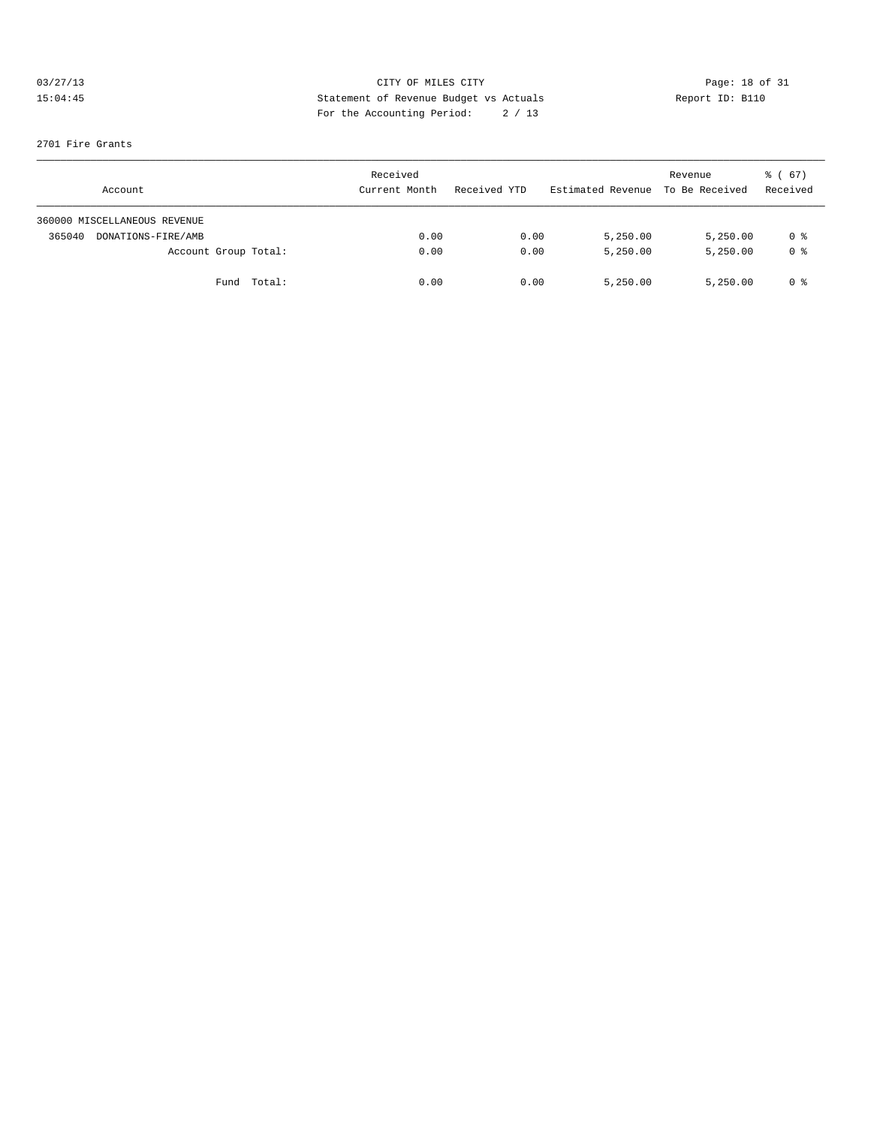# 03/27/13 CITY OF MILES CITY<br>15:04:45 Page: 18 of 31<br>15:04:45 Page: 18 of 31<br>15:04:45 Page: 18 of 31<br>15:04:45 15:04:45 Statement of Revenue Budget vs Actuals Report ID: B110 For the Accounting Period: 2 / 13

#### 2701 Fire Grants

| Account                      | Received<br>Current Month | Received YTD | Estimated Revenue To Be Received | Revenue  | 8 ( 67 )<br>Received |
|------------------------------|---------------------------|--------------|----------------------------------|----------|----------------------|
| 360000 MISCELLANEOUS REVENUE |                           |              |                                  |          |                      |
| 365040<br>DONATIONS-FIRE/AMB | 0.00                      | 0.00         | 5,250.00                         | 5,250.00 | 0 %                  |
| Account Group Total:         | 0.00                      | 0.00         | 5,250.00                         | 5,250.00 | 0 <sup>8</sup>       |
| Fund Total:                  | 0.00                      | 0.00         | 5,250.00                         | 5,250.00 | 0 %                  |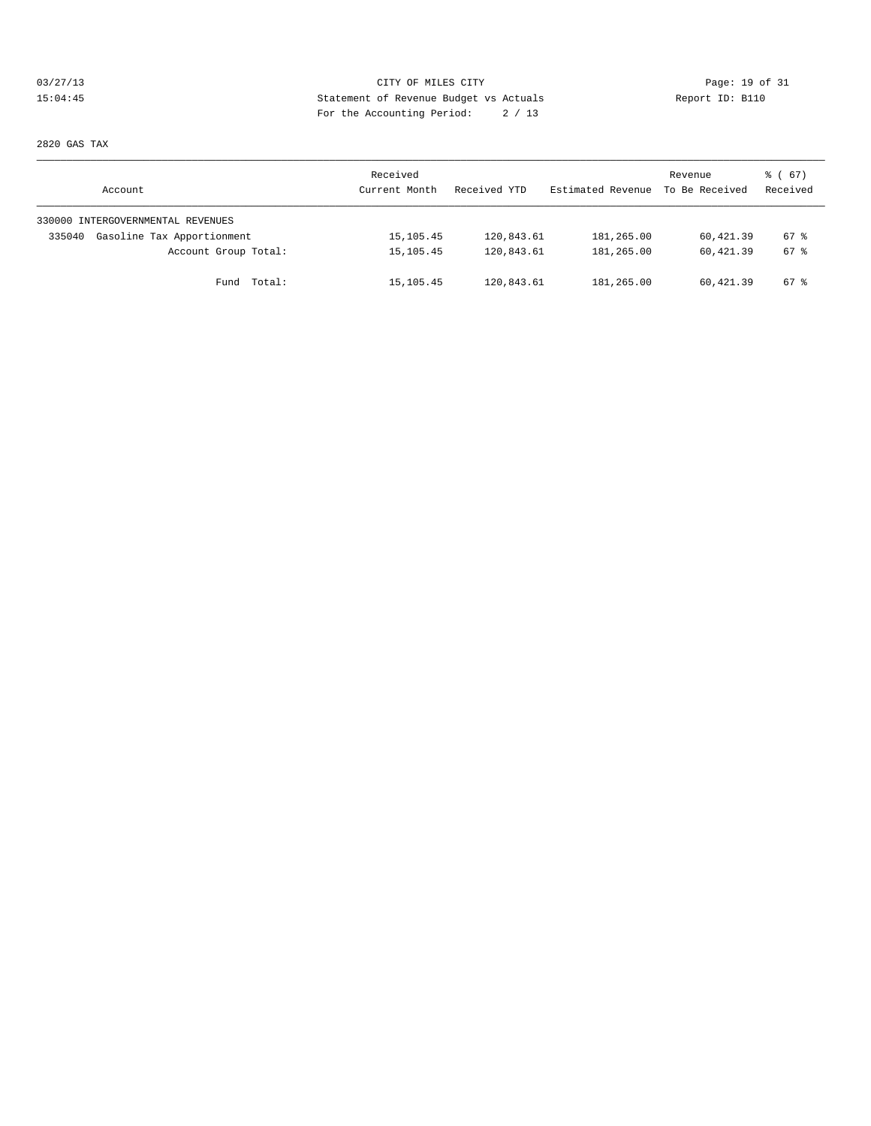# 03/27/13 Page: 19 of 31 15:04:45 Statement of Revenue Budget vs Actuals Report ID: B110 For the Accounting Period: 2 / 13

2820 GAS TAX

| Account                              | Received<br>Current Month | Received YTD | Estimated Revenue | Revenue<br>To Be Received | 8 ( 67 )<br>Received |
|--------------------------------------|---------------------------|--------------|-------------------|---------------------------|----------------------|
| 330000 INTERGOVERNMENTAL REVENUES    |                           |              |                   |                           |                      |
| Gasoline Tax Apportionment<br>335040 | 15, 105. 45               | 120,843.61   | 181,265.00        | 60,421.39                 | 67 %                 |
| Account Group Total:                 | 15, 105. 45               | 120,843.61   | 181,265.00        | 60,421.39                 | 67 %                 |
| Fund Total:                          | 15,105.45                 | 120,843.61   | 181,265.00        | 60,421.39                 | 67 %                 |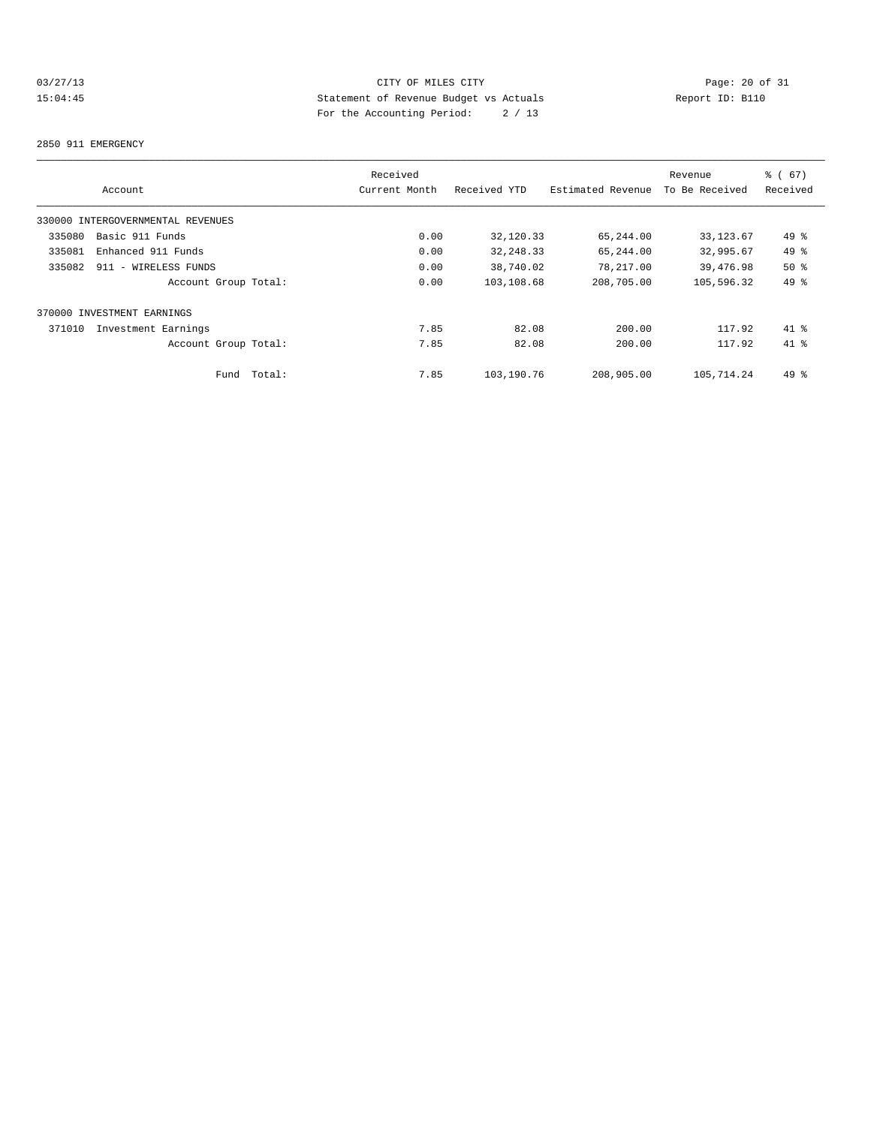# 03/27/13 Page: 20 of 31 15:04:45 Statement of Revenue Budget vs Actuals Report ID: B110 For the Accounting Period: 2 / 13

#### 2850 911 EMERGENCY

|                                   | Received       |              |                   | Revenue        | % (67)   |
|-----------------------------------|----------------|--------------|-------------------|----------------|----------|
| Account                           | Current Month  | Received YTD | Estimated Revenue | To Be Received | Received |
| 330000 INTERGOVERNMENTAL REVENUES |                |              |                   |                |          |
| Basic 911 Funds<br>335080         | 0.00           | 32,120.33    | 65,244.00         | 33, 123.67     | 49 %     |
| 335081<br>Enhanced 911 Funds      | 0.00           | 32, 248.33   | 65,244.00         | 32,995.67      | 49 %     |
| 335082<br>911 - WIRELESS FUNDS    | 0.00           | 38,740.02    | 78,217.00         | 39,476.98      | 50%      |
| Account Group Total:              | 0.00           | 103,108.68   | 208,705.00        | 105,596.32     | 49 %     |
| 370000 INVESTMENT EARNINGS        |                |              |                   |                |          |
| 371010<br>Investment Earnings     | 7.85           | 82.08        | 200.00            | 117.92         | $41*$    |
| Account Group Total:              | 7.85           | 82.08        | 200.00            | 117.92         | $41*$    |
| Fund                              | 7.85<br>Total: | 103,190.76   | 208,905.00        | 105,714.24     | $49*$    |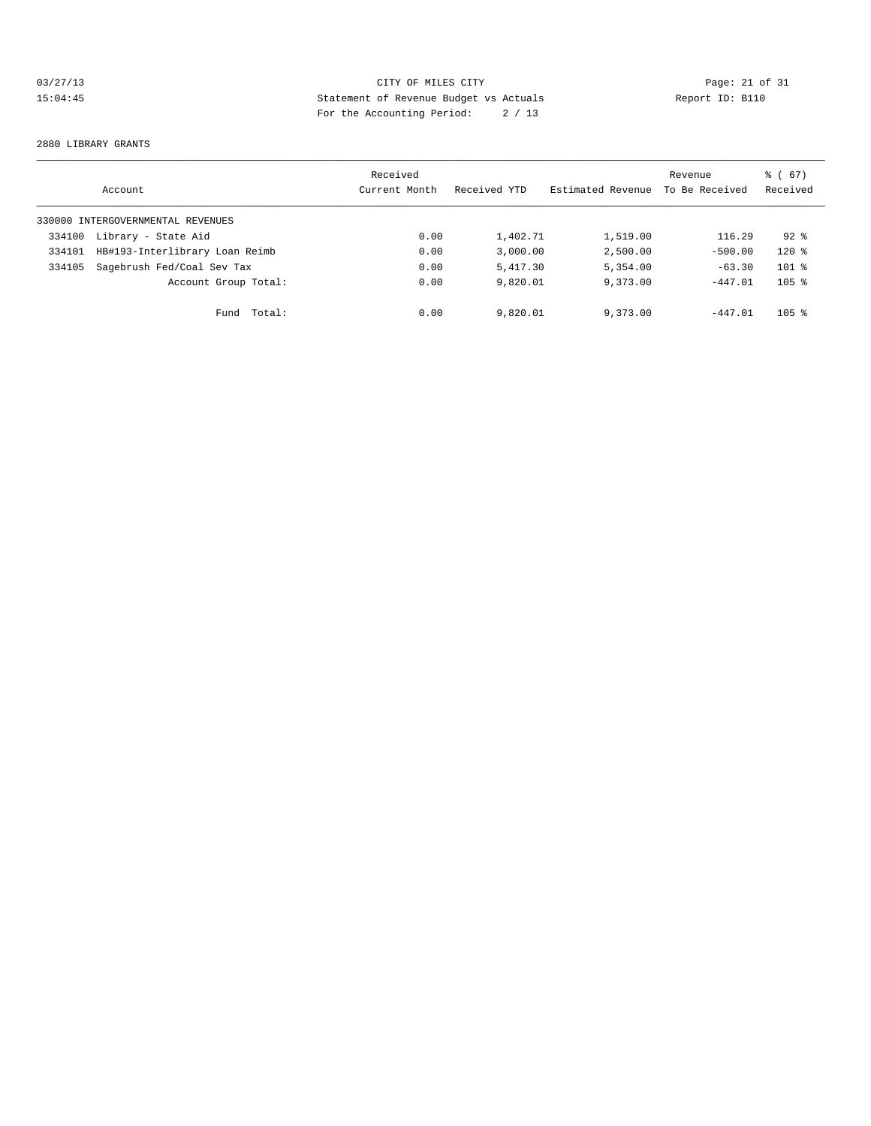# 03/27/13 CITY OF MILES CITY<br>15:04:45 Page: 21 of 31<br>15:04:45 Page: 21 of 31<br>15:04:45 Page: 21 of 31<br>15:04:45 15:04:45 Statement of Revenue Budget vs Actuals Report ID: B110 For the Accounting Period: 2 / 13

#### 2880 LIBRARY GRANTS

|        | Account                           | Received<br>Current Month | Received YTD | Estimated Revenue | Revenue<br>To Be Received | ී (<br>67)<br>Received |
|--------|-----------------------------------|---------------------------|--------------|-------------------|---------------------------|------------------------|
|        | 330000 INTERGOVERNMENTAL REVENUES |                           |              |                   |                           |                        |
| 334100 | Library - State Aid               | 0.00                      | 1,402.71     | 1,519.00          | 116.29                    | $92*$                  |
| 334101 | HB#193-Interlibrary Loan Reimb    | 0.00                      | 3.000.00     | 2,500.00          | $-500.00$                 | $120*$                 |
| 334105 | Sagebrush Fed/Coal Sev Tax        | 0.00                      | 5,417.30     | 5,354.00          | $-63.30$                  | $101$ %                |
|        | Account Group Total:              | 0.00                      | 9,820.01     | 9,373.00          | $-447.01$                 | $105$ %                |
|        | Total:<br>Fund                    | 0.00                      | 9,820.01     | 9,373.00          | $-447.01$                 | $105$ %                |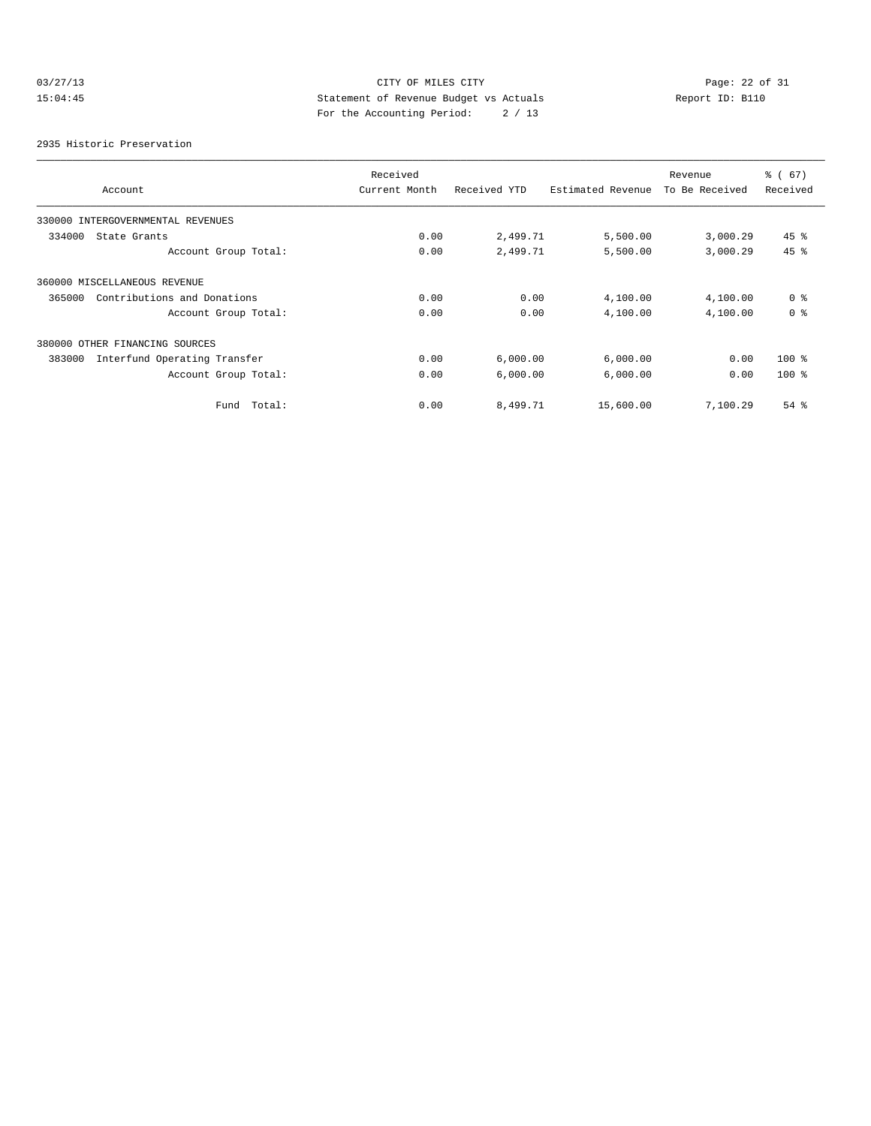# 03/27/13 CITY OF MILES CITY<br>15:04:45 Page: 22 of 31<br>15:04:45 Page: 22 of 31<br>15:04:45 Page: 22 of 31 15:04:45 Statement of Revenue Budget vs Actuals Report ID: B110 For the Accounting Period: 2 / 13

2935 Historic Preservation

|                                        | Received      |              |                   | Revenue        | % (67)         |
|----------------------------------------|---------------|--------------|-------------------|----------------|----------------|
| Account                                | Current Month | Received YTD | Estimated Revenue | To Be Received | Received       |
| INTERGOVERNMENTAL REVENUES<br>330000   |               |              |                   |                |                |
| 334000<br>State Grants                 | 0.00          | 2,499.71     | 5,500.00          | 3,000.29       | $45$ %         |
| Account Group Total:                   | 0.00          | 2,499.71     | 5,500.00          | 3,000.29       | 45 %           |
| 360000 MISCELLANEOUS REVENUE           |               |              |                   |                |                |
| Contributions and Donations<br>365000  | 0.00          | 0.00         | 4,100.00          | 4,100.00       | 0 <sup>8</sup> |
| Account Group Total:                   | 0.00          | 0.00         | 4,100.00          | 4,100.00       | 0 <sup>8</sup> |
| 380000 OTHER FINANCING SOURCES         |               |              |                   |                |                |
| Interfund Operating Transfer<br>383000 | 0.00          | 6,000.00     | 6,000.00          | 0.00           | $100*$         |
| Account Group Total:                   | 0.00          | 6,000.00     | 6,000.00          | 0.00           | $100*$         |
| Fund Total:                            | 0.00          | 8,499.71     | 15,600.00         | 7,100.29       | $54$ %         |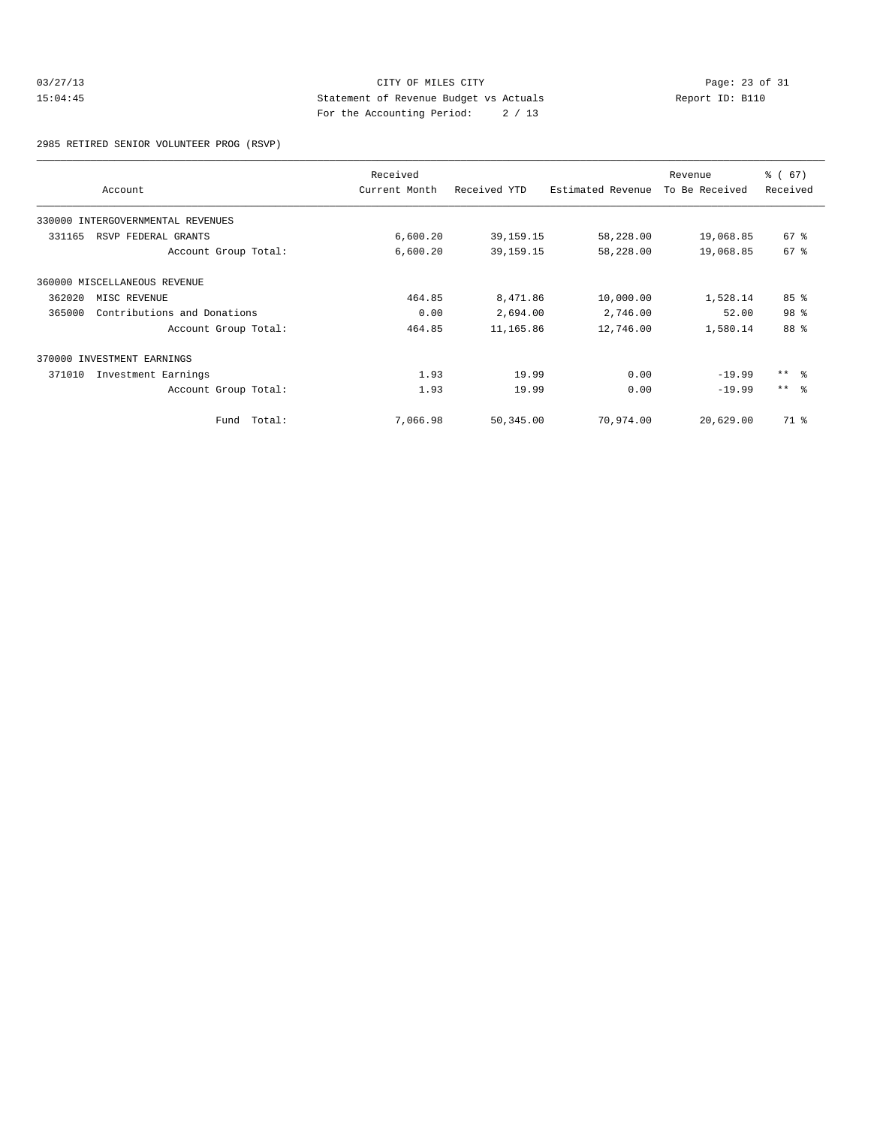#### 03/27/13 CITY OF MILES CITY<br>15:04:45 Page: 23 of 31<br>15:04:45 Page: 23 of 31<br>15:04:45 Page: 23 of 31 15:04:45 Statement of Revenue Budget vs Actuals Report ID: B110 For the Accounting Period: 2 / 13

2985 RETIRED SENIOR VOLUNTEER PROG (RSVP)

|        | Account                           | Received<br>Current Month | Received YTD | Estimated Revenue | Revenue<br>To Be Received | % (67)<br>Received |
|--------|-----------------------------------|---------------------------|--------------|-------------------|---------------------------|--------------------|
|        | 330000 INTERGOVERNMENTAL REVENUES |                           |              |                   |                           |                    |
| 331165 | RSVP FEDERAL GRANTS               | 6,600.20                  | 39, 159. 15  | 58,228.00         | 19,068.85                 | $67$ $%$           |
|        | Account Group Total:              | 6,600.20                  | 39, 159. 15  | 58,228.00         | 19,068.85                 | 67 <sup>8</sup>    |
|        | 360000 MISCELLANEOUS REVENUE      |                           |              |                   |                           |                    |
| 362020 | MISC REVENUE                      | 464.85                    | 8,471.86     | 10,000.00         | 1,528.14                  | 85 %               |
| 365000 | Contributions and Donations       | 0.00                      | 2,694.00     | 2,746.00          | 52.00                     | 98 %               |
|        | Account Group Total:              | 464.85                    | 11,165.86    | 12,746.00         | 1,580.14                  | 88 %               |
|        | 370000 INVESTMENT EARNINGS        |                           |              |                   |                           |                    |
| 371010 | Investment Earnings               | 1.93                      | 19.99        | 0.00              | $-19.99$                  | $***$ $ -$         |
|        | Account Group Total:              | 1.93                      | 19.99        | 0.00              | $-19.99$                  | $***$ $\approx$    |
|        | Fund Total:                       | 7,066.98                  | 50,345.00    | 70,974.00         | 20,629.00                 | 71 %               |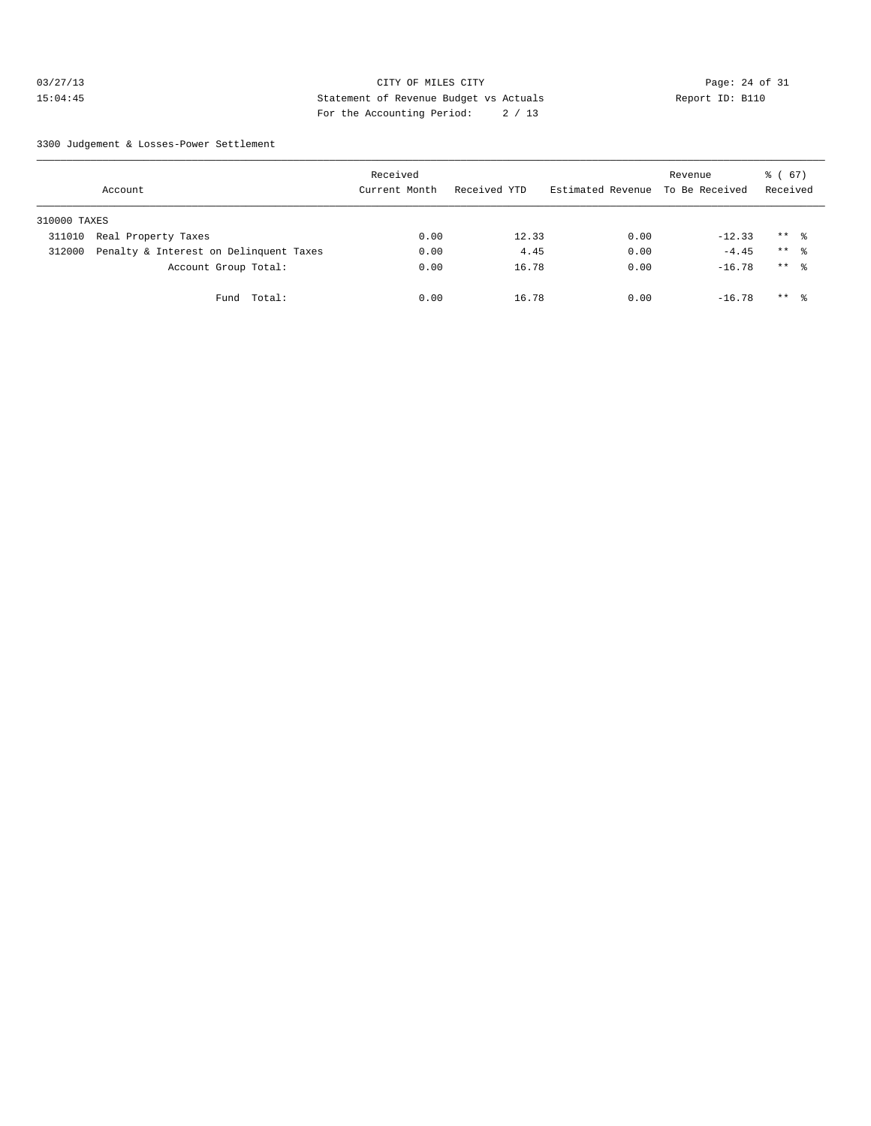#### 03/27/13 Page: 24 of 31 15:04:45 Statement of Revenue Budget vs Actuals Report ID: B110 For the Accounting Period: 2 / 13

3300 Judgement & Losses-Power Settlement

|              | Account                                | Received<br>Current Month | Received YTD | Estimated Revenue To Be Received | Revenue  | 8 ( 67 )<br>Received |  |
|--------------|----------------------------------------|---------------------------|--------------|----------------------------------|----------|----------------------|--|
| 310000 TAXES |                                        |                           |              |                                  |          |                      |  |
| 311010       | Real Property Taxes                    | 0.00                      | 12.33        | 0.00                             | $-12.33$ | $***$ $\approx$      |  |
| 312000       | Penalty & Interest on Delinquent Taxes | 0.00                      | 4.45         | 0.00                             | $-4.45$  | $***$ $\approx$      |  |
|              | Account Group Total:                   | 0.00                      | 16.78        | 0.00                             | $-16.78$ | $***$ %              |  |
|              | Fund Total:                            | 0.00                      | 16.78        | 0.00                             | $-16.78$ | $***$ 8              |  |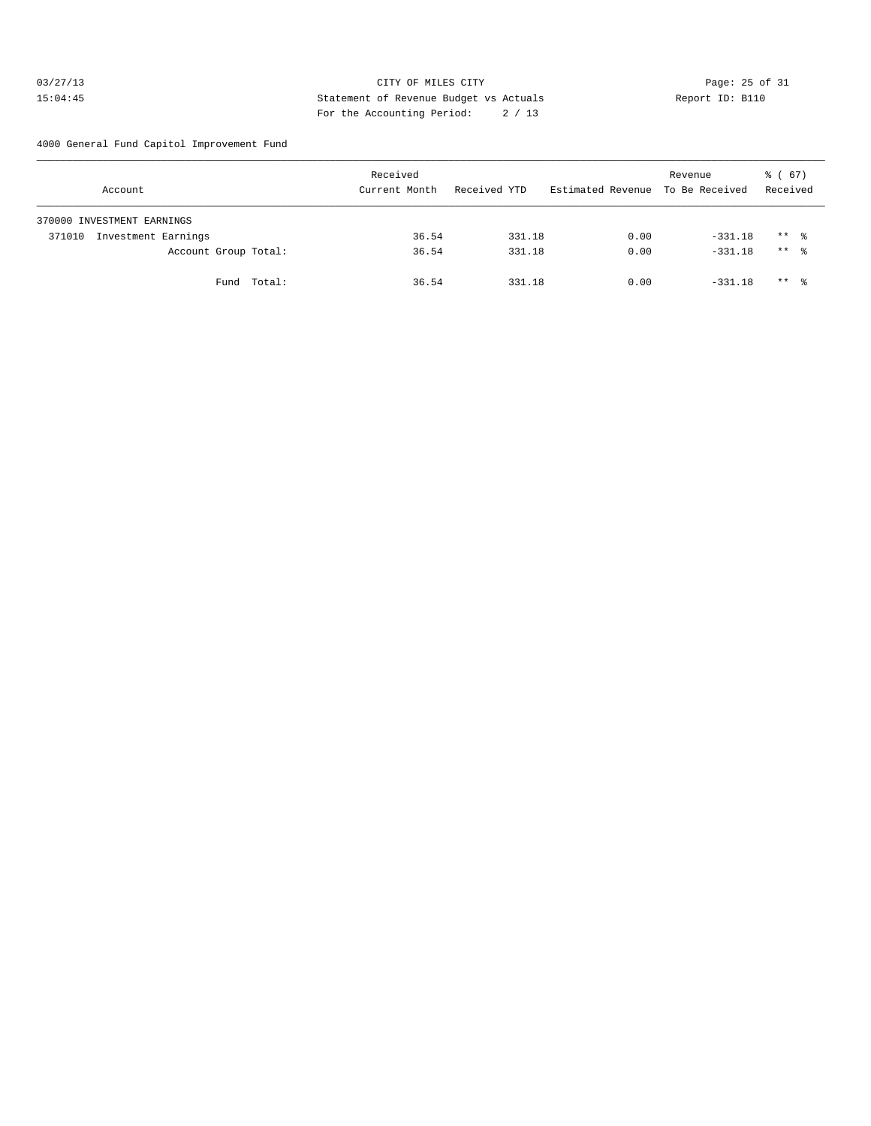#### 03/27/13 Page: 25 of 31 15:04:45 Statement of Revenue Budget vs Actuals Report ID: B110 For the Accounting Period: 2 / 13

4000 General Fund Capitol Improvement Fund

|        | Account                    |             | Received<br>Current Month |       | Received YTD |        | Estimated Revenue To Be Received | Revenue |           | $\frac{6}{6}$ (67)<br>Received |  |
|--------|----------------------------|-------------|---------------------------|-------|--------------|--------|----------------------------------|---------|-----------|--------------------------------|--|
|        | 370000 INVESTMENT EARNINGS |             |                           |       |              |        |                                  |         |           |                                |  |
| 371010 | Investment Earnings        |             |                           | 36.54 |              | 331.18 | 0.00                             |         | $-331.18$ | $***$ %                        |  |
|        | Account Group Total:       |             |                           | 36.54 |              | 331.18 | 0.00                             |         | $-331.18$ | $***$ %                        |  |
|        |                            | Fund Total: |                           | 36.54 |              | 331.18 | 0.00                             |         | $-331.18$ | $***$ %                        |  |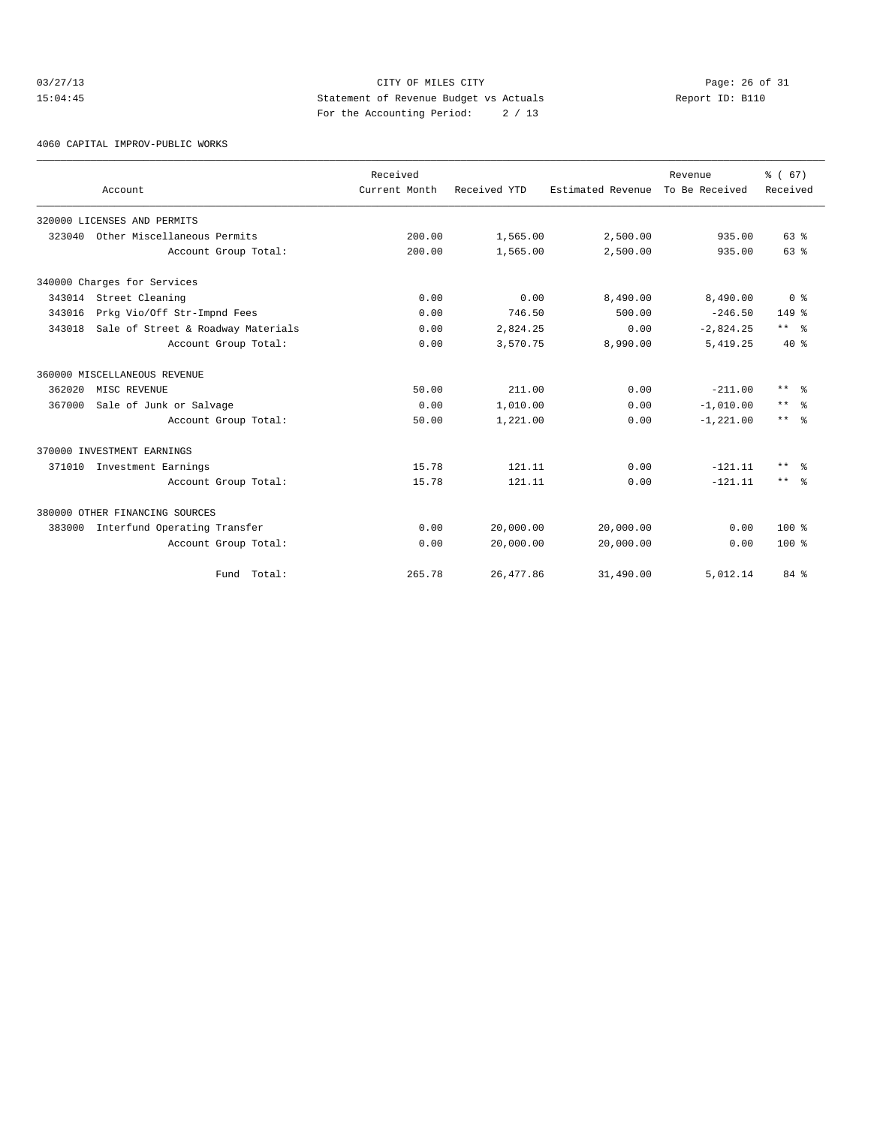#### 03/27/13 Page: 26 of 31 15:04:45 Statement of Revenue Budget vs Actuals Report ID: B110 For the Accounting Period: 2 / 13

4060 CAPITAL IMPROV-PUBLIC WORKS

|        | Account                            | Received<br>Current Month | Received YTD | Estimated Revenue | Revenue<br>To Be Received | % (67)<br>Received  |
|--------|------------------------------------|---------------------------|--------------|-------------------|---------------------------|---------------------|
|        | 320000 LICENSES AND PERMITS        |                           |              |                   |                           |                     |
| 323040 | Other Miscellaneous Permits        | 200.00                    | 1,565.00     | 2,500.00          | 935.00                    | 63%                 |
|        | Account Group Total:               | 200.00                    | 1,565.00     | 2,500.00          | 935.00                    | $63$ $%$            |
|        | 340000 Charges for Services        |                           |              |                   |                           |                     |
|        | 343014 Street Cleaning             | 0.00                      | 0.00         | 8,490.00          | 8,490.00                  | 0 <sup>8</sup>      |
| 343016 | Prkg Vio/Off Str-Impnd Fees        | 0.00                      | 746.50       | 500.00            | $-246.50$                 | $149*$              |
| 343018 | Sale of Street & Roadway Materials | 0.00                      | 2,824.25     | 0.00              | $-2,824.25$               | $***$ $ -$          |
|        | Account Group Total:               | 0.00                      | 3,570.75     | 8,990.00          | 5,419.25                  | $40*$               |
|        | 360000 MISCELLANEOUS REVENUE       |                           |              |                   |                           |                     |
| 362020 | MISC REVENUE                       | 50.00                     | 211.00       | 0.00              | $-211.00$                 | $***$<br>- 옹        |
| 367000 | Sale of Junk or Salvage            | 0.00                      | 1,010.00     | 0.00              | $-1,010.00$               | $\star\star$<br>ം ക |
|        | Account Group Total:               | 50.00                     | 1,221.00     | 0.00              | $-1, 221.00$              | $***$ $%$           |
|        | 370000 INVESTMENT EARNINGS         |                           |              |                   |                           |                     |
|        | 371010 Investment Earnings         | 15.78                     | 121.11       | 0.00              | $-121.11$                 | $***$<br>- 옹        |
|        | Account Group Total:               | 15.78                     | 121.11       | 0.00              | $-121.11$                 | $***$ 2             |
|        | 380000 OTHER FINANCING SOURCES     |                           |              |                   |                           |                     |
| 383000 | Interfund Operating Transfer       | 0.00                      | 20,000.00    | 20,000.00         | 0.00                      | $100*$              |
|        | Account Group Total:               | 0.00                      | 20,000.00    | 20,000.00         | 0.00                      | $100*$              |
|        | Fund Total:                        | 265.78                    | 26, 477.86   | 31,490.00         | 5,012.14                  | 84 %                |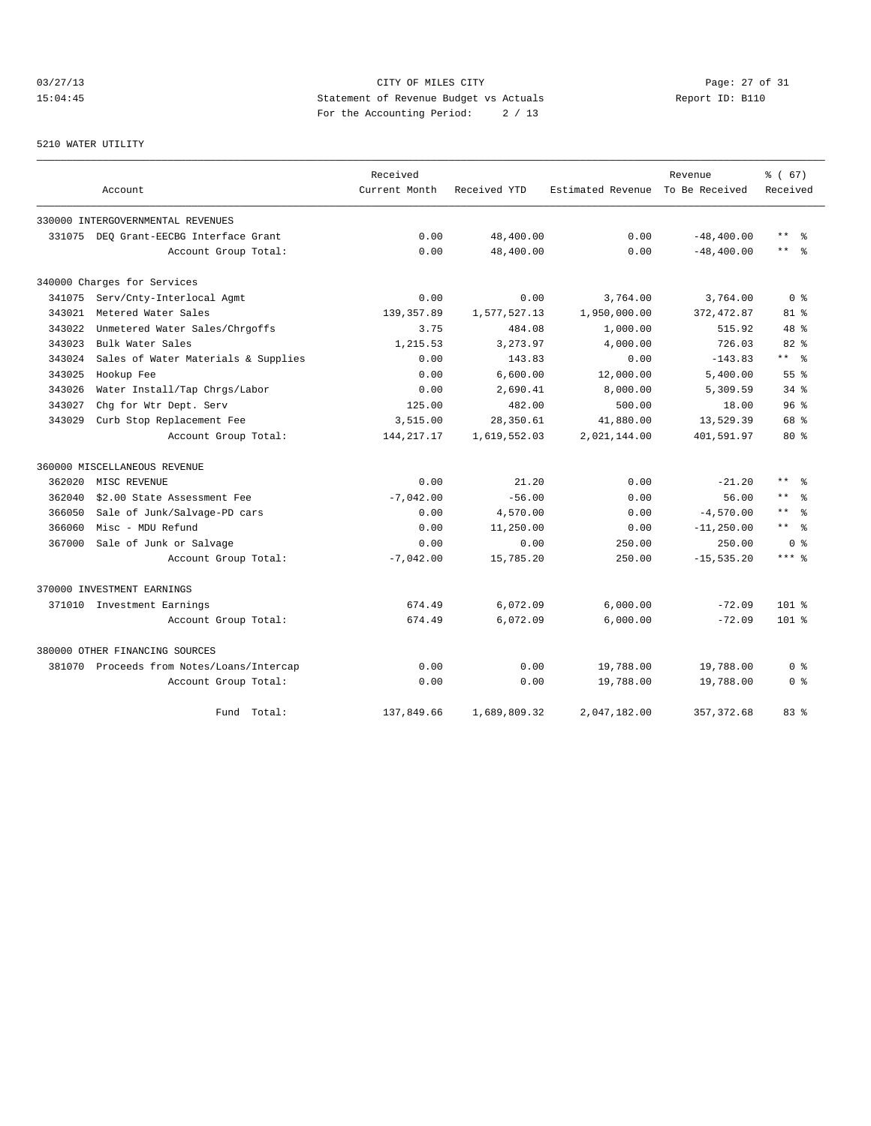# 03/27/13 Page: 27 of 31 15:04:45 Statement of Revenue Budget vs Actuals Report ID: B110 For the Accounting Period: 2 / 13

#### 5210 WATER UTILITY

|        |                                           | Received      |              |                   | Revenue        | % (67)                |
|--------|-------------------------------------------|---------------|--------------|-------------------|----------------|-----------------------|
|        | Account                                   | Current Month | Received YTD | Estimated Revenue | To Be Received | Received              |
|        | 330000 INTERGOVERNMENTAL REVENUES         |               |              |                   |                |                       |
|        | 331075 DEO Grant-EECBG Interface Grant    | 0.00          | 48,400.00    | 0.00              | $-48, 400.00$  | $\star$ $\star$<br>န္ |
|        | Account Group Total:                      | 0.00          | 48,400.00    | 0.00              | $-48, 400.00$  | $***$<br>- 옹          |
|        | 340000 Charges for Services               |               |              |                   |                |                       |
| 341075 | Serv/Cnty-Interlocal Agmt                 | 0.00          | 0.00         | 3,764.00          | 3,764.00       | 0 <sup>8</sup>        |
| 343021 | Metered Water Sales                       | 139, 357.89   | 1,577,527.13 | 1,950,000.00      | 372, 472.87    | $81$ %                |
| 343022 | Unmetered Water Sales/Chrgoffs            | 3.75          | 484.08       | 1,000.00          | 515.92         | $48$ %                |
| 343023 | Bulk Water Sales                          | 1,215.53      | 3,273.97     | 4,000.00          | 726.03         | 82%                   |
| 343024 | Sales of Water Materials & Supplies       | 0.00          | 143.83       | 0.00              | $-143.83$      | $***$ $ -$            |
| 343025 | Hookup Fee                                | 0.00          | 6,600.00     | 12,000.00         | 5,400.00       | 55 <sup>8</sup>       |
| 343026 | Water Install/Tap Chrgs/Labor             | 0.00          | 2,690.41     | 8,000.00          | 5,309.59       | $34$ $%$              |
| 343027 | Chg for Wtr Dept. Serv                    | 125.00        | 482.00       | 500.00            | 18.00          | 96 <sup>8</sup>       |
| 343029 | Curb Stop Replacement Fee                 | 3,515.00      | 28,350.61    | 41,880.00         | 13,529.39      | 68 %                  |
|        | Account Group Total:                      | 144, 217. 17  | 1,619,552.03 | 2,021,144.00      | 401,591.97     | $80*$                 |
|        | 360000 MISCELLANEOUS REVENUE              |               |              |                   |                |                       |
| 362020 | MISC REVENUE                              | 0.00          | 21.20        | 0.00              | $-21.20$       | $\star\star$<br>ွေ    |
| 362040 | \$2.00 State Assessment Fee               | $-7.042.00$   | $-56.00$     | 0.00              | 56.00          | $\star$ $\star$       |
| 366050 | Sale of Junk/Salvage-PD cars              | 0.00          | 4,570.00     | 0.00              | $-4,570.00$    | $***$<br>્ર           |
| 366060 | Misc - MDU Refund                         | 0.00          | 11,250.00    | 0.00              | $-11, 250.00$  | $***$ 8               |
| 367000 | Sale of Junk or Salvage                   | 0.00          | 0.00         | 250.00            | 250.00         | 0 <sup>8</sup>        |
|        | Account Group Total:                      | $-7,042.00$   | 15,785.20    | 250.00            | $-15, 535.20$  | $***$ %               |
|        | 370000 INVESTMENT EARNINGS                |               |              |                   |                |                       |
|        | 371010 Investment Earnings                | 674.49        | 6,072.09     | 6,000.00          | $-72.09$       | $101$ %               |
|        | Account Group Total:                      | 674.49        | 6,072.09     | 6,000.00          | $-72.09$       | $101$ %               |
|        | 380000 OTHER FINANCING SOURCES            |               |              |                   |                |                       |
|        | 381070 Proceeds from Notes/Loans/Intercap | 0.00          | 0.00         | 19,788.00         | 19,788.00      | 0 %                   |
|        | Account Group Total:                      | 0.00          | 0.00         | 19,788.00         | 19,788.00      | 0 <sup>8</sup>        |
|        | Fund Total:                               | 137,849.66    | 1,689,809.32 | 2,047,182.00      | 357, 372.68    | 83%                   |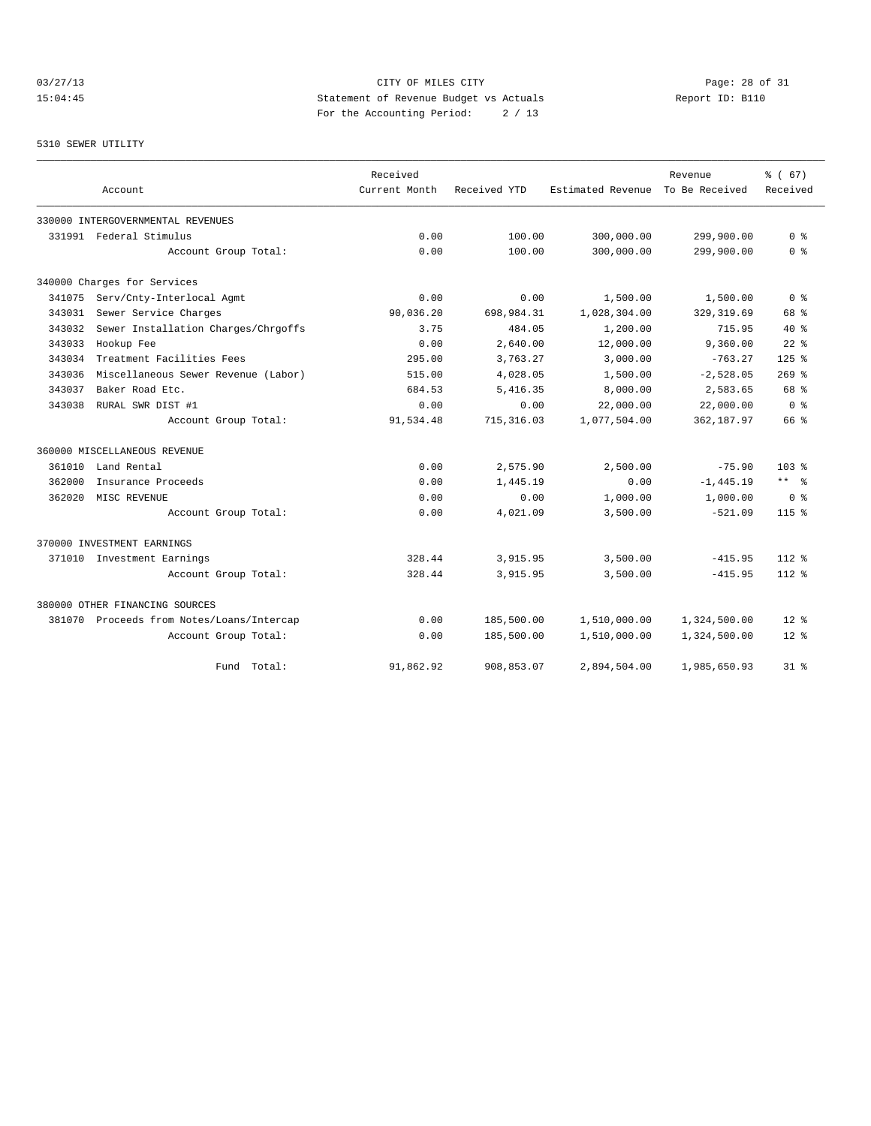# 03/27/13 CITY OF MILES CITY<br>15:04:45 Page: 28 of 31<br>15:04:45 Page: 28 of 31<br>2011 Page: 28 of 31<br>2012 Page: 28 of 31 15:04:45 Statement of Revenue Budget vs Actuals Report ID: B110 For the Accounting Period: 2 / 13

#### 5310 SEWER UTILITY

|        |                                           | Received      |              |                   | Revenue        | % (67)         |
|--------|-------------------------------------------|---------------|--------------|-------------------|----------------|----------------|
|        | Account                                   | Current Month | Received YTD | Estimated Revenue | To Be Received | Received       |
|        | 330000 INTERGOVERNMENTAL REVENUES         |               |              |                   |                |                |
|        | 331991 Federal Stimulus                   | 0.00          | 100.00       | 300,000.00        | 299,900.00     | 0 <sup>8</sup> |
|        | Account Group Total:                      | 0.00          | 100.00       | 300,000.00        | 299,900.00     | 0 <sup>8</sup> |
|        | 340000 Charges for Services               |               |              |                   |                |                |
| 341075 | Serv/Cnty-Interlocal Agmt                 | 0.00          | 0.00         | 1,500.00          | 1,500.00       | 0 <sup>8</sup> |
| 343031 | Sewer Service Charges                     | 90,036.20     | 698,984.31   | 1,028,304.00      | 329, 319.69    | 68 %           |
| 343032 | Sewer Installation Charges/Chrgoffs       | 3.75          | 484.05       | 1,200.00          | 715.95         | $40*$          |
| 343033 | Hookup Fee                                | 0.00          | 2,640.00     | 12,000.00         | 9,360.00       | $22$ $%$       |
| 343034 | Treatment Facilities Fees                 | 295.00        | 3,763.27     | 3,000.00          | $-763.27$      | $125$ %        |
| 343036 | Miscellaneous Sewer Revenue (Labor)       | 515.00        | 4,028.05     | 1,500.00          | $-2,528.05$    | $269$ %        |
| 343037 | Baker Road Etc.                           | 684.53        | 5,416.35     | 8,000.00          | 2,583.65       | 68 %           |
| 343038 | RURAL SWR DIST #1                         | 0.00          | 0.00         | 22,000.00         | 22,000.00      | 0 <sup>8</sup> |
|        | Account Group Total:                      | 91,534.48     | 715, 316.03  | 1,077,504.00      | 362,187.97     | 66 %           |
|        | 360000 MISCELLANEOUS REVENUE              |               |              |                   |                |                |
| 361010 | Land Rental                               | 0.00          | 2,575.90     | 2,500.00          | $-75.90$       | $103*$         |
| 362000 | Insurance Proceeds                        | 0.00          | 1,445.19     | 0.00              | $-1, 445.19$   | $***$ $ -$     |
| 362020 | MISC REVENUE                              | 0.00          | 0.00         | 1,000.00          | 1,000.00       | 0 <sup>8</sup> |
|        | Account Group Total:                      | 0.00          | 4,021.09     | 3,500.00          | $-521.09$      | $115*$         |
|        | 370000 INVESTMENT EARNINGS                |               |              |                   |                |                |
|        | 371010 Investment Earnings                | 328.44        | 3,915.95     | 3,500.00          | $-415.95$      | $112*$         |
|        | Account Group Total:                      | 328.44        | 3,915.95     | 3,500.00          | $-415.95$      | $112*$         |
|        | 380000 OTHER FINANCING SOURCES            |               |              |                   |                |                |
|        | 381070 Proceeds from Notes/Loans/Intercap | 0.00          | 185,500.00   | 1,510,000.00      | 1,324,500.00   | $12*$          |
|        | Account Group Total:                      | 0.00          | 185,500.00   | 1,510,000.00      | 1,324,500.00   | $12*$          |
|        | Total:<br>Fund                            | 91,862.92     | 908,853.07   | 2,894,504.00      | 1,985,650.93   | $31*$          |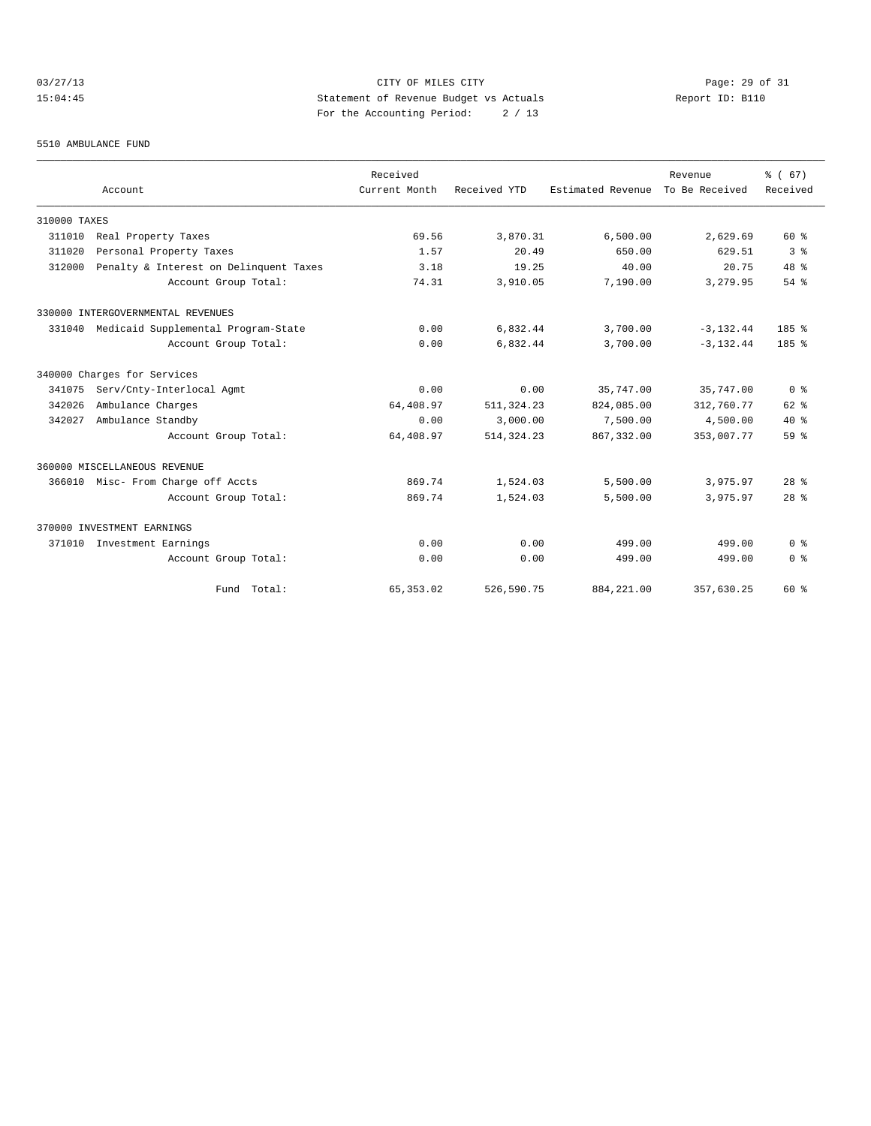# 03/27/13 Page: 29 of 31 15:04:45 Statement of Revenue Budget vs Actuals Report ID: B110 For the Accounting Period: 2 / 13

#### 5510 AMBULANCE FUND

|              |                                        | Received      |              |                                  | Revenue      | % (67)                             |
|--------------|----------------------------------------|---------------|--------------|----------------------------------|--------------|------------------------------------|
|              | Account                                | Current Month | Received YTD | Estimated Revenue To Be Received |              | Received                           |
| 310000 TAXES |                                        |               |              |                                  |              |                                    |
| 311010       | Real Property Taxes                    | 69.56         | 3,870.31     | 6,500.00                         | 2,629.69     | 60 %                               |
| 311020       | Personal Property Taxes                | 1.57          | 20.49        | 650.00                           | 629.51       | 3 <sup>8</sup>                     |
| 312000       | Penalty & Interest on Delinquent Taxes | 3.18          | 19.25        | 40.00                            | 20.75        | 48 %                               |
|              | Account Group Total:                   | 74.31         | 3,910.05     | 7,190.00                         | 3,279.95     | $54$ $%$                           |
|              | 330000 INTERGOVERNMENTAL REVENUES      |               |              |                                  |              |                                    |
| 331040       | Medicaid Supplemental Program-State    | 0.00          | 6,832.44     | 3,700.00                         | $-3, 132.44$ | 185 %                              |
|              | Account Group Total:                   | 0.00          | 6,832.44     | 3,700.00                         | $-3, 132.44$ | 185%                               |
|              | 340000 Charges for Services            |               |              |                                  |              |                                    |
| 341075       | Serv/Cnty-Interlocal Agmt              | 0.00          | 0.00         | 35,747.00                        | 35,747.00    | 0 <sup>8</sup>                     |
| 342026       | Ambulance Charges                      | 64,408.97     | 511, 324.23  | 824,085.00                       | 312,760.77   | $62$ $%$                           |
| 342027       | Ambulance Standby                      | 0.00          | 3,000.00     | 7,500.00                         | 4,500.00     | $40*$                              |
|              | Account Group Total:                   | 64,408.97     | 514, 324, 23 | 867, 332, 00                     | 353,007.77   | 59 %                               |
|              | 360000 MISCELLANEOUS REVENUE           |               |              |                                  |              |                                    |
|              | 366010 Misc- From Charge off Accts     | 869.74        | 1,524.03     | 5,500.00                         | 3,975.97     | 28 <sup>8</sup>                    |
|              | Account Group Total:                   | 869.74        | 1,524.03     | 5,500.00                         | 3,975.97     | 28 <sup>8</sup>                    |
|              | 370000 INVESTMENT EARNINGS             |               |              |                                  |              |                                    |
| 371010       | Investment Earnings                    | 0.00          | 0.00         | 499.00                           | 499.00       | $0 \text{ }$ $\text{ }$ $\text{ }$ |
|              | Account Group Total:                   | 0.00          | 0.00         | 499.00                           | 499.00       | 0 <sup>8</sup>                     |
|              | Fund Total:                            | 65, 353.02    | 526,590.75   | 884, 221.00                      | 357.630.25   | 60 %                               |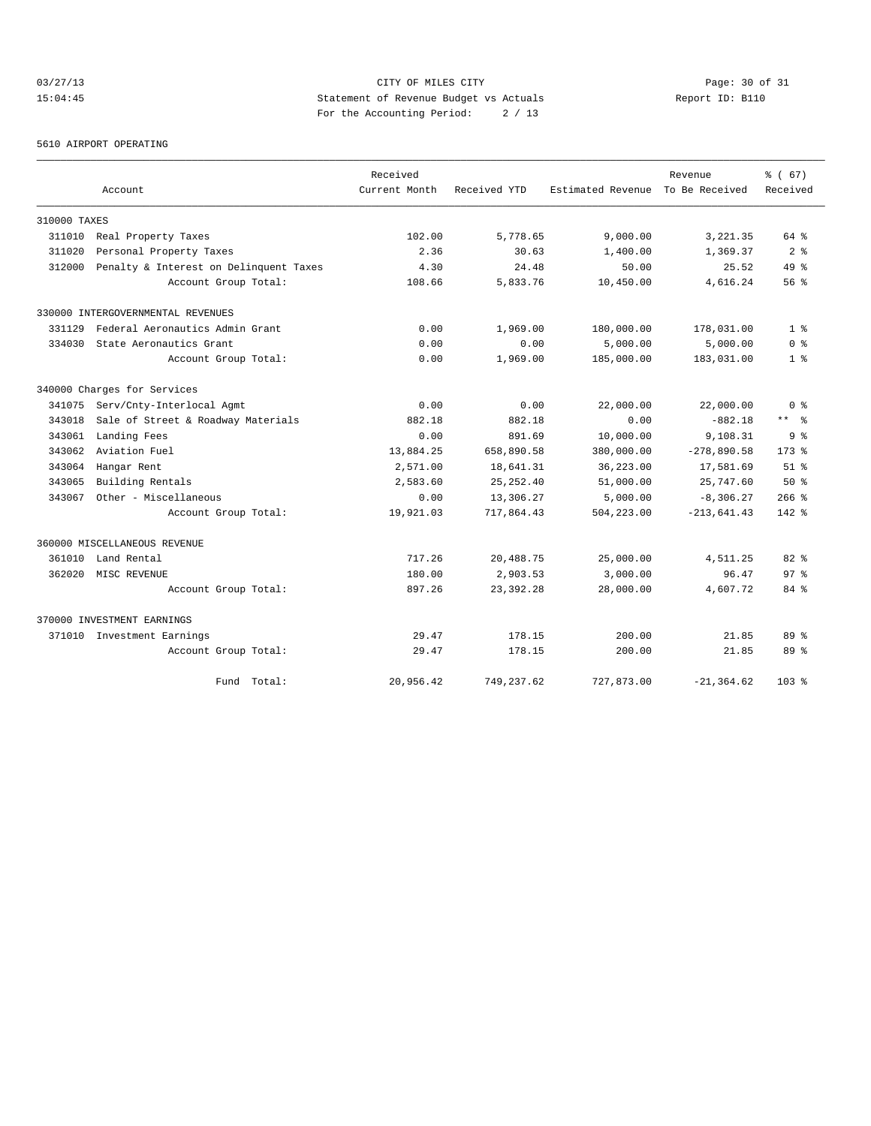# 03/27/13 Page: 30 of 31 15:04:45 Statement of Revenue Budget vs Actuals Report ID: B110 For the Accounting Period: 2 / 13

5610 AIRPORT OPERATING

|              |                                        | Received      |              |                   | Revenue        | % (67)          |
|--------------|----------------------------------------|---------------|--------------|-------------------|----------------|-----------------|
|              | Account                                | Current Month | Received YTD | Estimated Revenue | To Be Received | Received        |
| 310000 TAXES |                                        |               |              |                   |                |                 |
| 311010       | Real Property Taxes                    | 102.00        | 5,778.65     | 9,000.00          | 3, 221.35      | 64 %            |
| 311020       | Personal Property Taxes                | 2.36          | 30.63        | 1,400.00          | 1,369.37       | 2 <sup>8</sup>  |
| 312000       | Penalty & Interest on Delinquent Taxes | 4.30          | 24.48        | 50.00             | 25.52          | $49*$           |
|              | Account Group Total:                   | 108.66        | 5,833.76     | 10,450.00         | 4,616.24       | 56 <sup>8</sup> |
|              | 330000 INTERGOVERNMENTAL REVENUES      |               |              |                   |                |                 |
| 331129       | Federal Aeronautics Admin Grant        | 0.00          | 1,969.00     | 180,000.00        | 178,031.00     | 1 <sup>°</sup>  |
| 334030       | State Aeronautics Grant                | 0.00          | 0.00         | 5,000.00          | 5,000.00       | 0 <sup>8</sup>  |
|              | Account Group Total:                   | 0.00          | 1,969.00     | 185,000.00        | 183,031.00     | 1 <sup>8</sup>  |
|              | 340000 Charges for Services            |               |              |                   |                |                 |
| 341075       | Serv/Cnty-Interlocal Agmt              | 0.00          | 0.00         | 22,000.00         | 22,000.00      | 0 <sup>8</sup>  |
| 343018       | Sale of Street & Roadway Materials     | 882.18        | 882.18       | 0.00              | $-882.18$      | ** 왕            |
| 343061       | Landing Fees                           | 0.00          | 891.69       | 10,000.00         | 9,108.31       | 9 <sup>8</sup>  |
| 343062       | Aviation Fuel                          | 13,884.25     | 658,890.58   | 380,000.00        | $-278,890.58$  | $173*$          |
| 343064       | Hangar Rent                            | 2,571.00      | 18,641.31    | 36,223.00         | 17,581.69      | $51$ $%$        |
| 343065       | Building Rentals                       | 2,583.60      | 25, 252.40   | 51,000.00         | 25,747.60      | 50%             |
| 343067       | Other - Miscellaneous                  | 0.00          | 13,306.27    | 5,000.00          | $-8,306.27$    | $266$ %         |
|              | Account Group Total:                   | 19,921.03     | 717,864.43   | 504,223.00        | $-213,641.43$  | 142 %           |
|              | 360000 MISCELLANEOUS REVENUE           |               |              |                   |                |                 |
| 361010       | Land Rental                            | 717.26        | 20,488.75    | 25,000.00         | 4,511.25       | 82 %            |
| 362020       | MISC REVENUE                           | 180.00        | 2,903.53     | 3,000.00          | 96.47          | 97 <sup>°</sup> |
|              | Account Group Total:                   | 897.26        | 23, 392. 28  | 28,000.00         | 4,607.72       | 84 %            |
|              | 370000 INVESTMENT EARNINGS             |               |              |                   |                |                 |
|              | 371010 Investment Earnings             | 29.47         | 178.15       | 200.00            | 21.85          | 89 %            |
|              | Account Group Total:                   | 29.47         | 178.15       | 200.00            | 21.85          | 89 %            |
|              | Fund Total:                            | 20,956.42     | 749,237.62   | 727,873.00        | $-21, 364.62$  | $103*$          |